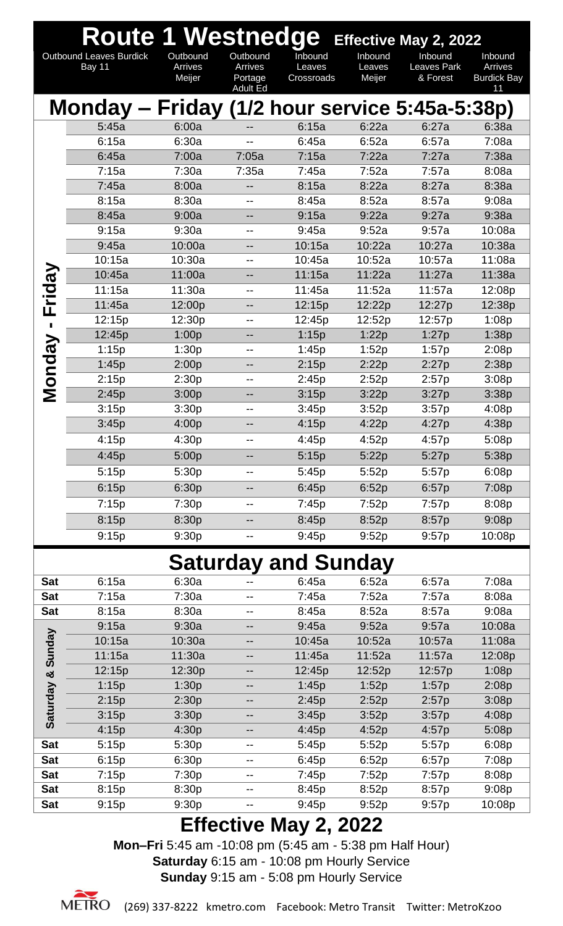|                         | <b>Route 1 Westnedge</b>                       |                   |                    |                            |                  | <b>Effective May 2, 2022</b> |                               |
|-------------------------|------------------------------------------------|-------------------|--------------------|----------------------------|------------------|------------------------------|-------------------------------|
|                         | <b>Outbound Leaves Burdick</b>                 | Outbound          | Outbound           | Inbound                    | Inbound          | Inbound                      | Inbound                       |
|                         | Bay 11                                         | Arrives<br>Meijer | Arrives<br>Portage | Leaves<br>Crossroads       | Leaves<br>Meijer | Leaves Park<br>& Forest      | Arrives<br><b>Burdick Bay</b> |
|                         |                                                |                   | Adult Ed           |                            |                  |                              | 11                            |
|                         | Monday – Friday (1/2 hour service 5:45a-5:38p) |                   |                    |                            |                  |                              |                               |
|                         | 5:45a                                          | 6:00a             |                    | 6:15a                      | 6:22a            | 6:27a                        | 6:38a                         |
|                         | 6:15a                                          | 6:30a             |                    | 6:45a                      | 6:52a            | 6:57a                        | 7:08a                         |
|                         | 6:45a                                          | 7:00a             | 7:05a              | 7:15a                      | 7:22a            | 7:27a                        | 7:38a                         |
|                         | 7:15a                                          | 7:30a             | 7:35a              | 7:45a                      | 7:52a            | 7:57a                        | 8:08a                         |
|                         | 7:45a                                          | 8:00a             | --                 | 8:15a                      | 8:22a            | 8:27a                        | 8:38a                         |
|                         | 8:15a                                          | 8:30a             | --                 | 8:45a                      | 8:52a            | 8:57a                        | 9:08a                         |
|                         | 8:45a                                          | 9:00a             | --                 | 9:15a                      | 9:22a            | 9:27a                        | 9:38a                         |
|                         | 9:15a                                          | 9:30a             | $-$                | 9:45a                      | 9:52a            | 9:57a                        | 10:08a                        |
|                         | 9:45a                                          | 10:00a            | --                 | 10:15a                     | 10:22a           | 10:27a                       | 10:38a                        |
|                         | 10:15a                                         | 10:30a            | --                 | 10:45a                     | 10:52a           | 10:57a                       | 11:08a                        |
| Friday                  | 10:45a                                         | 11:00a            | --                 | 11:15a                     | 11:22a           | 11:27a                       | 11:38a                        |
|                         | 11:15a                                         | 11:30a            | --                 | 11:45a                     | 11:52a           | 11:57a                       | 12:08p                        |
|                         | 11:45a                                         | 12:00p            | --                 | 12:15p                     | 12:22p           | 12:27p                       | 12:38p                        |
|                         | 12:15p                                         | 12:30p            | --                 | 12:45p                     | 12:52p           | 12:57p                       | 1:08p                         |
| $\overline{\mathbf{g}}$ | 12:45p                                         | 1:00p             | --                 | 1:15p                      | 1:22p            | 1:27p                        | 1:38p                         |
|                         | 1:15p                                          | 1:30p             | --                 | 1:45p                      | 1:52p            | 1:57p                        | 2:08p                         |
| Mond                    | 1:45p                                          | 2:00p             | --                 | 2:15p                      | 2:22p            | 2:27p                        | 2:38p                         |
|                         | 2:15p                                          | 2:30p             | --                 | 2:45p                      | 2:52p            | 2:57p                        | 3:08p                         |
|                         | 2:45p<br>3:15p                                 | 3:00p<br>3:30p    | --                 | 3:15p<br>3:45p             | 3:22p<br>3:52p   | 3:27p                        | 3:38p<br>4:08p                |
|                         | 3:45p                                          | 4:00p             | --<br>--           | 4:15p                      | 4:22p            | 3:57p<br>4:27p               | 4:38p                         |
|                         | 4:15p                                          | 4:30p             |                    | 4:45p                      | 4:52p            | 4:57p                        | 5:08p                         |
|                         | 4:45p                                          | 5:00p             |                    | 5:15p                      |                  |                              |                               |
|                         |                                                |                   | --                 |                            | 5:22p            | 5:27p                        | 5:38p                         |
|                         | 5:15p                                          | 5:30p             | --                 | 5:45p                      | 5:52p            | 5:57p                        | 6:08p                         |
|                         | 6:15p                                          | 6:30p             | --                 | 6:45p                      | 6:52p            | 6:57p                        | 7:08p                         |
|                         | 7:15p                                          | 7:30p             | --                 | 7:45p                      | 7:52p            | 7:57p                        | 8:08p                         |
|                         | 8:15p                                          | 8:30p             | --                 | 8:45p                      | 8:52p            | 8:57p                        | 9:08p                         |
|                         | 9:15p                                          | 9:30p             |                    | 9:45p                      | 9:52p            | 9:57p                        | 10:08p                        |
|                         |                                                |                   |                    | <b>Saturday and Sunday</b> |                  |                              |                               |
| <b>Sat</b>              | 6:15a                                          | 6:30a             |                    | 6:45a                      | 6:52a            | 6:57a                        | 7:08a                         |
| <b>Sat</b>              | 7:15a                                          | 7:30a             | --                 | 7:45a                      | 7:52a            | 7:57a                        | 8:08a                         |
| <b>Sat</b>              | 8:15a                                          | 8:30a             | --                 | 8:45a                      | 8:52a            | 8:57a                        | 9:08a                         |
|                         | 9:15a                                          | 9:30a             | --                 | 9:45a                      | 9:52a            | 9:57a                        | 10:08a                        |
|                         | 10:15a                                         | 10:30a            | --                 | 10:45a                     | 10:52a           | 10:57a                       | 11:08a                        |
|                         | 11:15a                                         | 11:30a            |                    | 11:45a                     | 11:52a           | 11:57a                       | 12:08p                        |
|                         | 12:15p                                         | 12:30p            | --                 | 12:45p                     | 12:52p           | 12:57p                       | 1:08p                         |
|                         | 1:15p                                          | 1:30p             | --                 | 1:45p                      | 1:52p            | 1:57p                        | 2:08p                         |
| Saturday & Sunday       | 2:15p                                          | 2:30p             | --                 | 2:45p                      | 2:52p            | 2:57p                        | 3:08p                         |
|                         | 3:15p                                          | 3:30p             |                    | 3:45p                      | 3:52p            | 3:57p                        | 4:08p                         |
|                         | 4:15p                                          | 4:30p             | --                 | 4:45p                      | 4:52p            | 4:57p                        | 5:08p                         |
| <b>Sat</b>              | 5:15p                                          | 5:30p             | --                 | 5:45p                      | 5:52p            | 5:57p                        | 6:08p                         |
| <b>Sat</b>              | 6:15p                                          | 6:30p             | --                 | 6:45p                      | 6:52p            | 6:57p                        | 7:08p                         |
| <b>Sat</b>              | 7:15p                                          | 7:30p             | --                 | 7:45p                      | 7:52p            | 7:57p                        | 8:08p                         |
| <b>Sat</b>              | 8:15p                                          | 8:30p             | --                 | 8:45p                      | 8:52p            | 8:57p                        | 9:08p                         |
| <b>Sat</b>              | 9:15p                                          | 9:30p<br>r ce     |                    | 9:45p                      | 9:52p            | 9:57p                        | 10:08p                        |

**Mon–Fri** 5:45 am -10:08 pm (5:45 am - 5:38 pm Half Hour) **Saturday** 6:15 am - 10:08 pm Hourly Service **Sunday** 9:15 am - 5:08 pm Hourly Service

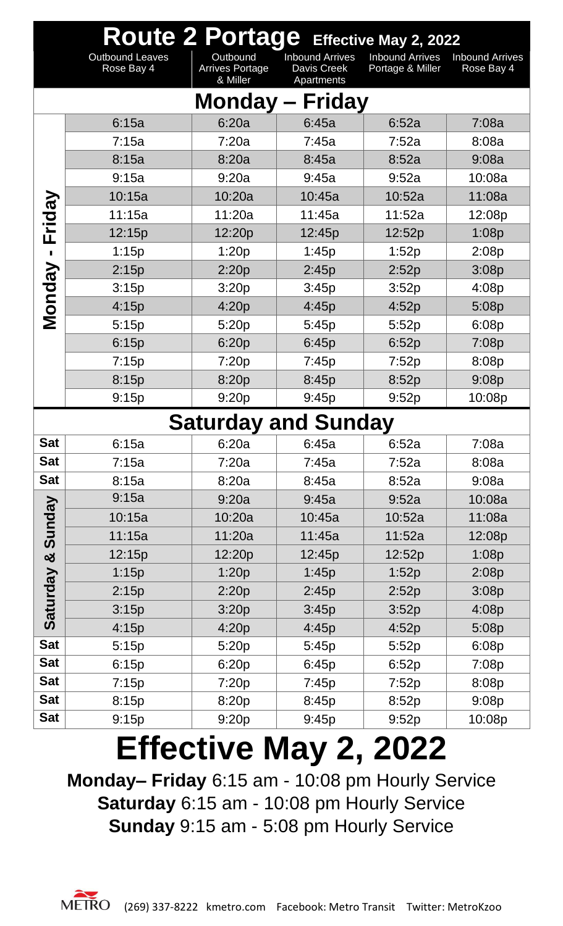|                | Route 2 Portage Effective May 2, 2022 |                                                |                                                     |                                            |                                      |  |  |  |  |  |
|----------------|---------------------------------------|------------------------------------------------|-----------------------------------------------------|--------------------------------------------|--------------------------------------|--|--|--|--|--|
|                | <b>Outbound Leaves</b><br>Rose Bay 4  | Outbound<br><b>Arrives Portage</b><br>& Miller | <b>Inbound Arrives</b><br>Davis Creek<br>Apartments | <b>Inbound Arrives</b><br>Portage & Miller | <b>Inbound Arrives</b><br>Rose Bay 4 |  |  |  |  |  |
|                |                                       |                                                | <b>Monday - Friday</b>                              |                                            |                                      |  |  |  |  |  |
|                | 6:15a                                 | 6:20a                                          | 6:45a                                               | 6:52a                                      | 7:08a                                |  |  |  |  |  |
|                | 7:15a                                 | 7:20a                                          | 7:45a                                               | 7:52a                                      | 8:08a                                |  |  |  |  |  |
|                | 8:15a                                 | 8:20a                                          | 8:45a                                               | 8:52a                                      | 9:08a                                |  |  |  |  |  |
|                | 9:15a                                 | 9:20a                                          | 9:45a                                               | 9:52a                                      | 10:08a                               |  |  |  |  |  |
|                | 10:15a                                | 10:20a                                         | 10:45a                                              | 10:52a                                     | 11:08a                               |  |  |  |  |  |
|                | 11:15a                                | 11:20a                                         | 11:45a                                              | 11:52a                                     | 12:08p                               |  |  |  |  |  |
| Friday         | 12:15p                                | 12:20p                                         | 12:45p                                              | 12:52p                                     | 1:08p                                |  |  |  |  |  |
| $\blacksquare$ | 1:15p                                 | 1:20p                                          | 1:45p                                               | 1:52p                                      | 2:08p                                |  |  |  |  |  |
|                | 2:15p                                 | 2:20p                                          | 2:45p                                               | 2:52p                                      | 3:08p                                |  |  |  |  |  |
|                | 3:15p                                 | 3:20p                                          | 3:45p                                               | 3:52p                                      | 4:08p                                |  |  |  |  |  |
| Monday         | 4:15p                                 | 4:20p                                          | 4:45p                                               | 4:52p                                      | 5:08p                                |  |  |  |  |  |
|                | 5:15p                                 | 5:20p                                          | 5:45p                                               | 5:52p                                      | 6:08p                                |  |  |  |  |  |
|                | 6:15p                                 | 6:20p                                          | 6:45p                                               | 6:52p                                      | 7:08p                                |  |  |  |  |  |
|                | 7:15p                                 | 7:20p                                          | 7:45p                                               | 7:52p                                      | 8:08p                                |  |  |  |  |  |
|                | 8:15p                                 | 8:20p                                          | 8:45p                                               | 8:52p                                      | 9:08p                                |  |  |  |  |  |
|                | 9:15p                                 | 9:20p                                          | 9:45p                                               | 9:52p                                      | 10:08p                               |  |  |  |  |  |
|                |                                       | <b>Saturday and Sunday</b>                     |                                                     |                                            |                                      |  |  |  |  |  |
| <b>Sat</b>     | 6:15a                                 | 6:20a                                          | 6:45a                                               | 6:52a                                      | 7:08a                                |  |  |  |  |  |
| <b>Sat</b>     | 7:15a                                 | 7:20a                                          | 7:45a                                               | 7:52a                                      | 8:08a                                |  |  |  |  |  |
| <b>Sat</b>     | 8:15a                                 | 8:20a                                          | 8:45a                                               | 8:52a                                      | 9:08a                                |  |  |  |  |  |
|                | 9:15a                                 | 9:20a                                          | 9:45a                                               | 9:52a                                      | 10:08a                               |  |  |  |  |  |
| Sunday         | 10:15a                                | 10:20a                                         | 10:45a                                              | 10:52a                                     | 11:08a                               |  |  |  |  |  |
|                | 11:15a                                | 11:20a                                         | 11:45a                                              | 11:52a                                     | 12:08p                               |  |  |  |  |  |
| ಯ              | 12:15p                                | 12:20p                                         | 12:45p                                              | 12:52p                                     | 1:08p                                |  |  |  |  |  |
|                | 1:15p                                 | 1:20p                                          | 1:45p                                               | 1:52p                                      | 2:08p                                |  |  |  |  |  |
| Saturday       | 2:15p                                 | 2:20p                                          | 2:45p                                               | 2:52p                                      | 3:08p                                |  |  |  |  |  |
|                | 3:15p                                 | 3:20p                                          | 3:45p                                               | 3:52p                                      | 4:08p                                |  |  |  |  |  |
|                | 4:15p                                 | 4:20p                                          | 4:45p                                               | 4:52p                                      | 5:08p                                |  |  |  |  |  |
| <b>Sat</b>     | 5:15p                                 | 5:20p                                          | 5:45p                                               | 5:52p                                      | 6:08p                                |  |  |  |  |  |
| <b>Sat</b>     | 6:15p                                 | 6:20p                                          | 6:45p                                               | 6:52p                                      | 7:08p                                |  |  |  |  |  |
| <b>Sat</b>     | 7:15p                                 | 7:20p                                          | 7:45p                                               | 7:52p                                      | 8:08p                                |  |  |  |  |  |
| <b>Sat</b>     | 8:15p                                 | 8:20p                                          | 8:45p                                               | 8:52p                                      | 9:08p                                |  |  |  |  |  |
| <b>Sat</b>     | 9:15p                                 | 9:20p                                          | 9:45p                                               | 9:52p                                      | 10:08p                               |  |  |  |  |  |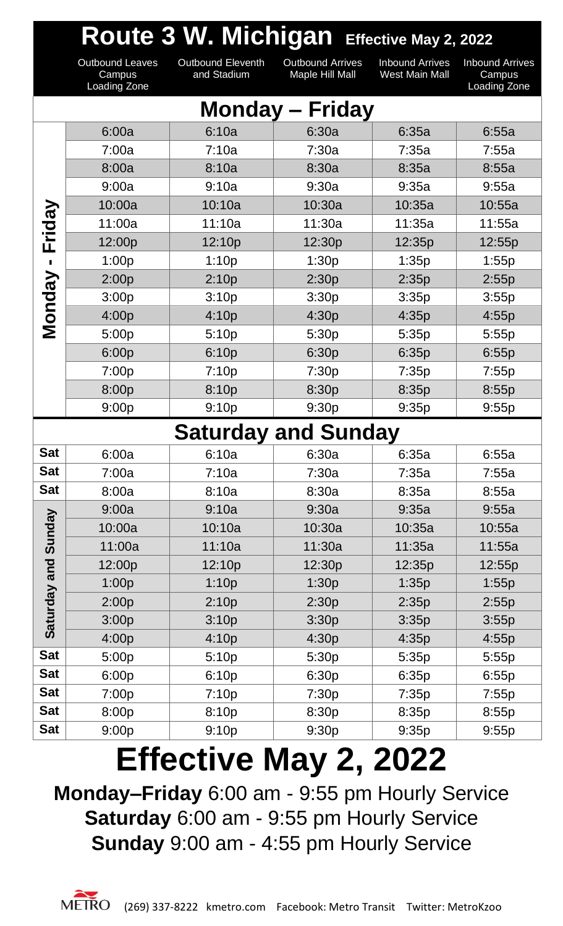|               | Route 3 W. Michigan Effective May 2, 2022        |                                         |                                            |                                          |                                                         |  |  |  |  |
|---------------|--------------------------------------------------|-----------------------------------------|--------------------------------------------|------------------------------------------|---------------------------------------------------------|--|--|--|--|
|               | <b>Outbound Leaves</b><br>Campus<br>Loading Zone | <b>Outbound Eleventh</b><br>and Stadium | <b>Outbound Arrives</b><br>Maple Hill Mall | <b>Inbound Arrives</b><br>West Main Mall | <b>Inbound Arrives</b><br>Campus<br><b>Loading Zone</b> |  |  |  |  |
|               |                                                  |                                         | <b>Monday – Friday</b>                     |                                          |                                                         |  |  |  |  |
|               | 6:00a                                            | 6:10a                                   | 6:30a                                      | 6:35a                                    | 6:55a                                                   |  |  |  |  |
|               | 7:00a                                            | 7:10a                                   | 7:30a                                      | 7:35a                                    | 7:55a                                                   |  |  |  |  |
|               | 8:00a                                            | 8:10a                                   | 8:30a                                      | 8:35a                                    | 8:55a                                                   |  |  |  |  |
|               | 9:00a                                            | 9:10a                                   | 9:30a                                      | 9:35a                                    | 9:55a                                                   |  |  |  |  |
|               | 10:00a                                           | 10:10a                                  | 10:30a                                     | 10:35a                                   | 10:55a                                                  |  |  |  |  |
| Friday        | 11:00a                                           | 11:10a                                  | 11:30a                                     | 11:35a                                   | 11:55a                                                  |  |  |  |  |
|               | 12:00p                                           | 12:10p                                  | 12:30p                                     | 12:35p                                   | 12:55p                                                  |  |  |  |  |
|               | 1:00p                                            | 1:10p                                   | 1:30p                                      | 1:35p                                    | 1:55p                                                   |  |  |  |  |
|               | 2:00p                                            | 2:10p                                   | 2:30p                                      | 2:35p                                    | 2:55p                                                   |  |  |  |  |
| <b>Monday</b> | 3:00p                                            | 3:10p                                   | 3:30p                                      | 3:35p                                    | 3:55p                                                   |  |  |  |  |
|               | 4:00p                                            | 4:10p                                   | 4:30p                                      | 4:35p                                    | 4:55p                                                   |  |  |  |  |
|               | 5:00p                                            | 5:10p                                   | 5:30p                                      | 5:35p                                    | 5:55p                                                   |  |  |  |  |
|               | 6:00p                                            | 6:10p                                   | 6:30p                                      | 6:35p                                    | 6:55p                                                   |  |  |  |  |
|               | 7:00p                                            | 7:10p                                   | 7:30p                                      | 7:35p                                    | 7:55p                                                   |  |  |  |  |
|               | 8:00p                                            | 8:10p                                   | 8:30p                                      | 8:35p                                    | 8:55p                                                   |  |  |  |  |
|               | 9:00p                                            | 9:10p                                   | 9:30p                                      | 9:35p                                    | 9:55p                                                   |  |  |  |  |
|               |                                                  | <b>Saturday and Sunday</b>              |                                            |                                          |                                                         |  |  |  |  |
| <b>Sat</b>    | 6:00a                                            | 6:10a                                   | 6:30a                                      | 6:35a                                    | 6:55a                                                   |  |  |  |  |
| <b>Sat</b>    | 7:00a                                            | 7:10a                                   | 7:30a                                      | 7:35a                                    | 7:55a                                                   |  |  |  |  |
| <b>Sat</b>    | 8:00a                                            | 8:10a                                   | 8:30a                                      | 8:35a                                    | 8:55a                                                   |  |  |  |  |
|               | 9:00a                                            | 9:10a                                   | 9:30a                                      | 9:35a                                    | 9:55a                                                   |  |  |  |  |
| Sunday        | 10:00a                                           | 10:10a                                  | 10:30a                                     | 10:35a                                   | 10:55a                                                  |  |  |  |  |
|               | 11:00a                                           | 11:10a                                  | 11:30a                                     | 11:35a                                   | 11:55a                                                  |  |  |  |  |
| and           | 12:00p                                           | 12:10p                                  | 12:30p                                     | 12:35p                                   | 12:55p                                                  |  |  |  |  |
|               | 1:00p                                            | 1:10p                                   | 1:30p                                      | 1:35p                                    | 1:55p                                                   |  |  |  |  |
| Saturday      | 2:00p                                            | 2:10p                                   | 2:30p                                      | 2:35p                                    | 2:55p                                                   |  |  |  |  |
|               | 3:00p                                            | 3:10p                                   | 3:30p                                      | 3:35p                                    | 3:55p                                                   |  |  |  |  |
|               | 4:00p                                            | 4:10p                                   | 4:30p                                      | 4:35p                                    | 4:55p                                                   |  |  |  |  |
| <b>Sat</b>    | 5:00p                                            | 5:10p                                   | 5:30p                                      | 5:35p                                    | 5:55p                                                   |  |  |  |  |
| <b>Sat</b>    | 6:00p                                            | 6:10p                                   | 6:30p                                      | 6:35p                                    | 6:55p                                                   |  |  |  |  |
| <b>Sat</b>    | 7:00p                                            | 7:10p                                   | 7:30p                                      | 7:35p                                    | 7:55p                                                   |  |  |  |  |
| <b>Sat</b>    | 8:00p                                            | 8:10p                                   | 8:30p                                      | 8:35p                                    | 8:55p                                                   |  |  |  |  |
| <b>Sat</b>    | 9:00p                                            | 9:10p                                   | 9:30p                                      | 9:35p                                    | 9:55p                                                   |  |  |  |  |

**Monday–Friday** 6:00 am - 9:55 pm Hourly Service **Saturday** 6:00 am - 9:55 pm Hourly Service **Sunday** 9:00 am - 4:55 pm Hourly Service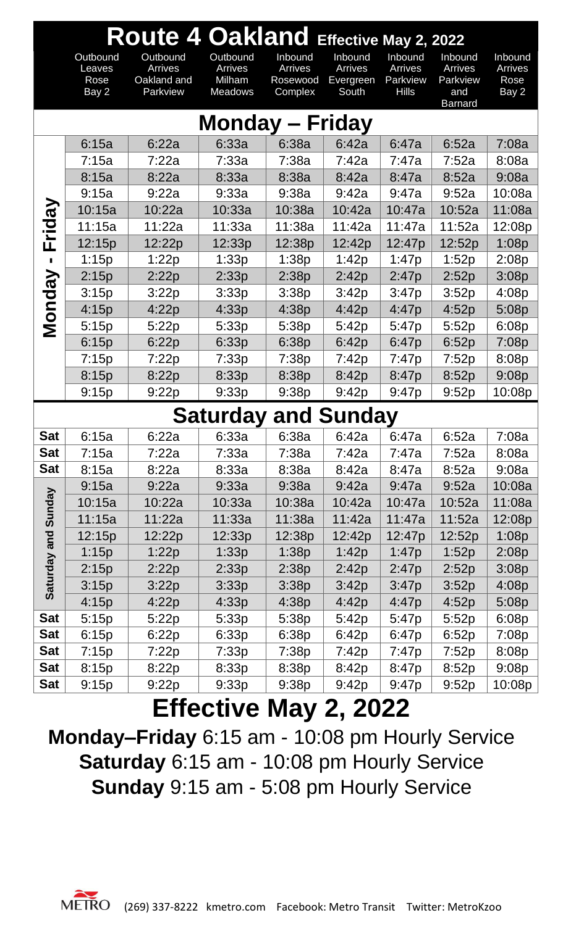|               | Route 4 Oakland Effective May 2, 2022 |                                                       |                                                 |                                           |                                                 |                                                |                                                         |                                     |  |
|---------------|---------------------------------------|-------------------------------------------------------|-------------------------------------------------|-------------------------------------------|-------------------------------------------------|------------------------------------------------|---------------------------------------------------------|-------------------------------------|--|
|               | Outbound<br>Leaves<br>Rose<br>Bay 2   | Outbound<br><b>Arrives</b><br>Oakland and<br>Parkview | Outbound<br>Arrives<br>Milham<br><b>Meadows</b> | Inbound<br>Arrives<br>Rosewood<br>Complex | Inbound<br><b>Arrives</b><br>Evergreen<br>South | Inbound<br>Arrives<br>Parkview<br><b>Hills</b> | Inbound<br>Arrives<br>Parkview<br>and<br><b>Barnard</b> | Inbound<br>Arrives<br>Rose<br>Bay 2 |  |
|               |                                       |                                                       | <b>Monday – Friday</b>                          |                                           |                                                 |                                                |                                                         |                                     |  |
|               | 6:15a                                 | 6:22a                                                 | 6:33a                                           | 6:38a                                     | 6:42a                                           | 6:47a                                          | 6:52a                                                   | 7:08a                               |  |
|               | 7:15a                                 | 7:22a                                                 | 7:33a                                           | 7:38a                                     | 7:42a                                           | 7:47a                                          | 7:52a                                                   | 8:08a                               |  |
|               | 8:15a                                 | 8:22a                                                 | 8:33a                                           | 8:38a                                     | 8:42a                                           | 8:47a                                          | 8:52a                                                   | 9:08a                               |  |
|               | 9:15a                                 | 9:22a                                                 | 9:33a                                           | 9:38a                                     | 9:42a                                           | 9:47a                                          | 9:52a                                                   | 10:08a                              |  |
| Friday        | 10:15a                                | 10:22a                                                | 10:33a                                          | 10:38a                                    | 10:42a                                          | 10:47a                                         | 10:52a                                                  | 11:08a                              |  |
|               | 11:15a                                | 11:22a                                                | 11:33a                                          | 11:38a                                    | 11:42a                                          | 11:47a                                         | 11:52a                                                  | 12:08p                              |  |
|               | 12:15p                                | 12:22p                                                | 12:33p                                          | 12:38p                                    | 12:42p                                          | 12:47p                                         | 12:52p                                                  | 1:08p                               |  |
|               | 1:15p                                 | 1:22p                                                 | 1:33p                                           | 1:38p                                     | 1:42p                                           | 1:47p                                          | 1:52p                                                   | 2:08p                               |  |
| <b>Monday</b> | 2:15p                                 | 2:22p                                                 | 2:33p                                           | 2:38p                                     | 2:42p                                           | 2:47p                                          | 2:52p                                                   | 3:08p                               |  |
|               | 3:15p                                 | 3:22p                                                 | 3:33p                                           | 3:38p                                     | 3:42p                                           | 3:47p                                          | 3:52p                                                   | 4:08p                               |  |
|               | 4:15p                                 | 4:22p                                                 | 4:33p                                           | 4:38p                                     | 4:42p                                           | 4:47p                                          | 4:52p                                                   | 5:08p                               |  |
|               | 5:15p                                 | 5:22p                                                 | 5:33p                                           | 5:38p                                     | 5:42p                                           | 5:47p                                          | 5:52p                                                   | 6:08p                               |  |
|               | 6:15p                                 | 6:22p                                                 | 6:33p                                           | 6:38p                                     | 6:42p                                           | 6:47p                                          | 6:52p                                                   | 7:08p                               |  |
|               | 7:15p                                 | 7:22p                                                 | 7:33p                                           | 7:38p                                     | 7:42p                                           | 7:47p                                          | 7:52p                                                   | 8:08p                               |  |
|               | 8:15p                                 | 8:22p                                                 | 8:33p                                           | 8:38p                                     | 8:42p                                           | 8:47p                                          | 8:52p                                                   | 9:08p                               |  |
|               | 9:15p                                 | 9:22p                                                 | 9:33p                                           | 9:38p                                     | 9:42p                                           | 9:47p                                          | 9:52p                                                   | 10:08p                              |  |
|               |                                       |                                                       | <b>Saturday and Sunday</b>                      |                                           |                                                 |                                                |                                                         |                                     |  |
| Sat           | 6:15a                                 | 6:22a                                                 | 6:33a                                           | 6:38a                                     | 6:42a                                           | 6:47a                                          | 6:52a                                                   | 7:08a                               |  |
| <b>Sat</b>    | 7:15a                                 | 7:22a                                                 | 7:33a                                           | 7:38a                                     | 7:42a                                           | 7:47a                                          | 7:52a                                                   | 8:08a                               |  |
| <b>Sat</b>    | 8:15a                                 | 8:22a                                                 | 8:33a                                           | 8:38a                                     | 8:42a                                           | 8:47a                                          | 8:52a                                                   | 9:08a                               |  |
|               | 9:15a                                 | 9:22a                                                 | 9:33a                                           | 9:38a                                     | 9:42a                                           | 9:47a                                          | 9:52a                                                   | 10:08a                              |  |
| Sunday        | 10:15a                                | 10:22a                                                | 10:33a                                          | 10:38a                                    | 10:42a                                          | 10:47a                                         | 10:52a                                                  | 11:08a                              |  |
|               | 11:15a                                | 11:22a                                                | 11:33a                                          | 11:38a                                    | 11:42a                                          | 11:47a                                         | 11:52a                                                  | 12:08p                              |  |
|               | 12:15p                                | 12:22p                                                | 12:33p                                          | 12:38p                                    | 12:42p                                          | 12:47p                                         | 12:52p                                                  | 1:08p                               |  |
|               | 1:15p                                 | 1:22p                                                 | 1:33p                                           | 1:38p                                     | 1:42p                                           | 1:47p                                          | 1:52p                                                   | 2:08p                               |  |
|               | 2:15p                                 | 2:22p                                                 | 2:33p                                           | 2:38p                                     | 2:42p                                           | 2:47p                                          | 2:52p                                                   | 3:08p                               |  |
| Saturday and  | 3:15p                                 | 3:22p                                                 | 3:33p                                           | 3:38p                                     | 3:42p                                           | 3:47p                                          | 3:52p                                                   | 4:08p                               |  |
|               | 4:15p                                 | 4:22p                                                 | 4:33p                                           | 4:38p                                     | 4:42p                                           | 4:47p                                          | 4:52p                                                   | 5:08p                               |  |
| <b>Sat</b>    | 5:15p                                 | 5:22p                                                 | 5:33p                                           | 5:38p                                     | 5:42p                                           | 5:47p                                          | 5:52p                                                   | 6:08p                               |  |
| Sat           | 6:15p                                 | 6:22p                                                 | 6:33p                                           | 6:38p                                     | 6:42p                                           | 6:47p                                          | 6:52p                                                   | 7:08p                               |  |
| Sat           | 7:15p                                 | 7:22p                                                 | 7:33p                                           | 7:38p                                     | 7:42p                                           | 7:47p                                          | 7:52p                                                   | 8:08p                               |  |
| Sat           | 8:15p                                 | 8:22p                                                 | 8:33p                                           | 8:38p                                     | 8:42p                                           | 8:47p                                          | 8:52p                                                   | 9:08p                               |  |
| Sat           | 9:15p                                 | 9:22p                                                 | 9:33p                                           | 9:38p                                     | 9:42p                                           | 9:47p                                          | 9:52p                                                   | 10:08p                              |  |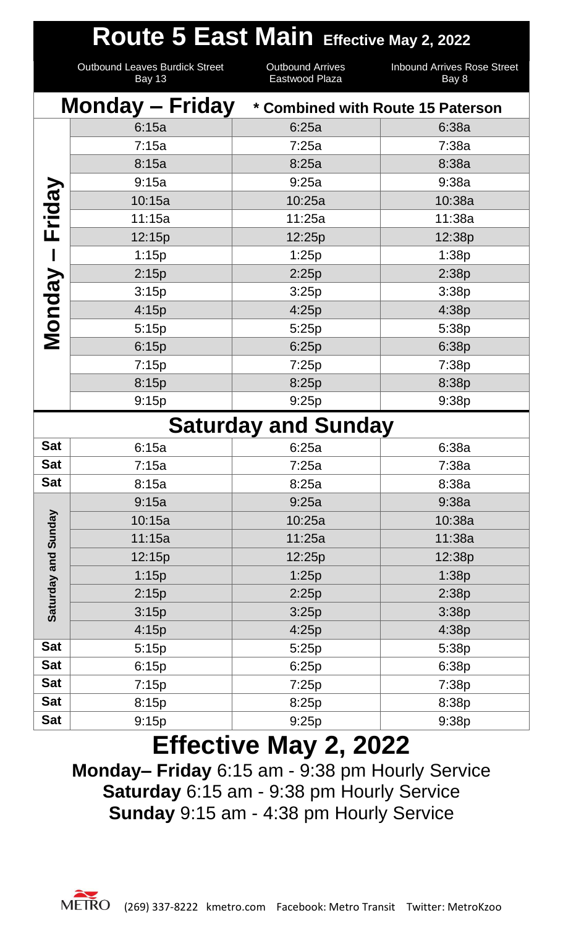|                     |                                                        | Route 5 East Main Effective May 2, 2022   |                                             |  |  |  |
|---------------------|--------------------------------------------------------|-------------------------------------------|---------------------------------------------|--|--|--|
|                     | <b>Outbound Leaves Burdick Street</b><br><b>Bay 13</b> | <b>Outbound Arrives</b><br>Eastwood Plaza | <b>Inbound Arrives Rose Street</b><br>Bay 8 |  |  |  |
|                     | <b>Monday – Friday</b>                                 | * Combined with Route 15 Paterson         |                                             |  |  |  |
|                     | 6:15a                                                  | 6:25a                                     | 6:38a                                       |  |  |  |
|                     | 7:15a                                                  | 7:25a                                     | 7:38a                                       |  |  |  |
|                     | 8:15a                                                  | 8:25a                                     | 8:38a                                       |  |  |  |
|                     | 9:15a                                                  | 9:25a                                     | 9:38a                                       |  |  |  |
| Friday              | 10:15a                                                 | 10:25a                                    | 10:38a                                      |  |  |  |
|                     | 11:15a                                                 | 11:25a                                    | 11:38a                                      |  |  |  |
|                     | 12:15p                                                 | 12:25p                                    | 12:38p                                      |  |  |  |
| $\mathbf l$         | 1:15p                                                  | 1:25p                                     | 1:38p                                       |  |  |  |
|                     | 2:15p                                                  | 2:25p                                     | 2:38p                                       |  |  |  |
| Monday              | 3:15p                                                  | 3:25p                                     | 3:38p                                       |  |  |  |
|                     | 4:15p                                                  | 4:25p                                     | 4:38p                                       |  |  |  |
|                     | 5:15p                                                  | 5:25p                                     | 5:38p                                       |  |  |  |
|                     | 6:15p                                                  | 6:25p                                     | 6:38p                                       |  |  |  |
|                     | 7:15p                                                  | 7:25p                                     | 7:38p                                       |  |  |  |
|                     | 8:15p                                                  | 8:25p                                     | 8:38p                                       |  |  |  |
|                     | 9:15p                                                  | 9:25p                                     | 9:38p                                       |  |  |  |
|                     |                                                        | <b>Saturday and Sunday</b>                |                                             |  |  |  |
| <b>Sat</b>          | 6:15a                                                  | 6:25a                                     | 6:38a                                       |  |  |  |
| <b>Sat</b>          | 7:15a                                                  | 7:25a                                     | 7:38a                                       |  |  |  |
| <b>Sat</b>          | 8:15a                                                  | 8:25a                                     | 8:38a                                       |  |  |  |
|                     | 9:15a                                                  | 9:25a                                     | 9:38a                                       |  |  |  |
| Saturday and Sunday | 10:15a                                                 | 10:25a                                    | 10:38a                                      |  |  |  |
|                     | 11:15a                                                 | 11:25a                                    | 11:38a                                      |  |  |  |
|                     | 12:15p                                                 | 12:25p                                    | 12:38p                                      |  |  |  |
|                     | 1:15p                                                  | 1:25p                                     | 1:38p                                       |  |  |  |
|                     | 2:15p                                                  | 2:25p                                     | 2:38p                                       |  |  |  |
|                     | 3:15p                                                  | 3:25p                                     | 3:38p                                       |  |  |  |
|                     | 4:15p                                                  | 4:25p                                     | 4:38p                                       |  |  |  |
| <b>Sat</b>          | 5:15p                                                  | 5:25p                                     | 5:38p                                       |  |  |  |
| <b>Sat</b>          | 6:15p                                                  | 6:25p                                     | 6:38p                                       |  |  |  |
| <b>Sat</b>          | 7:15p                                                  | 7:25p                                     | 7:38p                                       |  |  |  |
| <b>Sat</b>          | 8:15p                                                  | 8:25p                                     | 8:38p                                       |  |  |  |
| <b>Sat</b>          | 9:15p                                                  | 9:25p                                     | 9:38p                                       |  |  |  |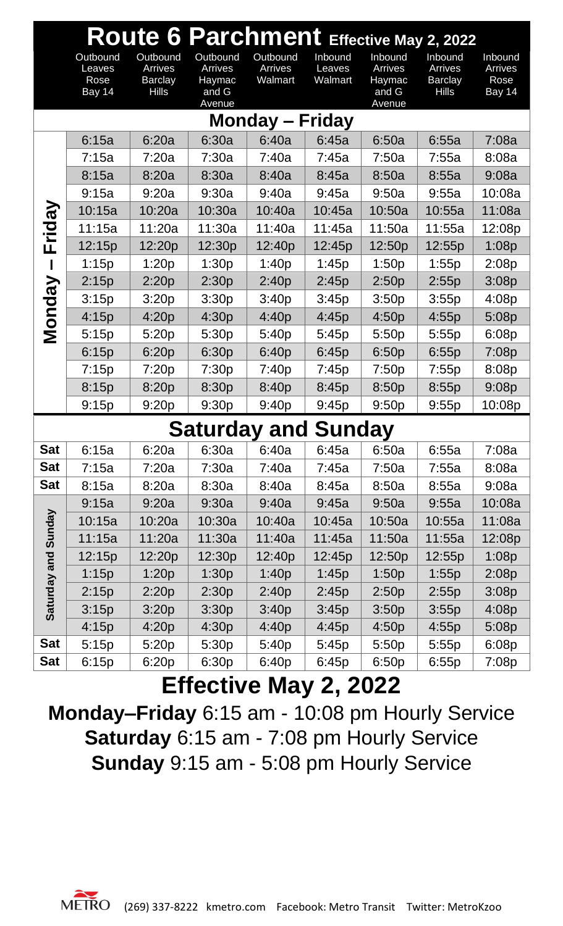|               | Route 6 Parchment Effective May 2, 2022    |                           |                            |                    |                   |                   |                           |                 |  |  |  |
|---------------|--------------------------------------------|---------------------------|----------------------------|--------------------|-------------------|-------------------|---------------------------|-----------------|--|--|--|
|               | Outbound                                   | Outbound                  | Outbound                   | Outbound           | Inbound           | Inbound           | Inbound                   | Inbound         |  |  |  |
|               | Leaves<br>Rose                             | Arrives<br><b>Barclay</b> | Arrives<br>Haymac          | Arrives<br>Walmart | Leaves<br>Walmart | Arrives<br>Haymac | Arrives<br><b>Barclay</b> | Arrives<br>Rose |  |  |  |
|               | Bay 14                                     | <b>Hills</b>              | and G                      |                    |                   | and G             | <b>Hills</b>              | Bay 14          |  |  |  |
|               | Avenue<br>Avenue<br><b>Monday – Friday</b> |                           |                            |                    |                   |                   |                           |                 |  |  |  |
|               | 6:15a                                      | 6:20a                     | 6:30a                      | 6:40a              | 6:45a             | 6:50a             | 6:55a                     | 7:08a           |  |  |  |
|               | 7:15a                                      | 7:20a                     | 7:30a                      | 7:40a              | 7:45a             | 7:50a             | 7:55a                     | 8:08a           |  |  |  |
| Friday        | 8:15a                                      | 8:20a                     | 8:30a                      | 8:40a              | 8:45a             | 8:50a             | 8:55a                     | 9:08a           |  |  |  |
|               | 9:15a                                      | 9:20a                     | 9:30a                      | 9:40a              | 9:45a             | 9:50a             | 9:55a                     | 10:08a          |  |  |  |
|               | 10:15a                                     | 10:20a                    | 10:30a                     | 10:40a             | 10:45a            | 10:50a            | 10:55a                    | 11:08a          |  |  |  |
|               | 11:15a                                     | 11:20a                    | 11:30a                     | 11:40a             | 11:45a            | 11:50a            | 11:55a                    | 12:08p          |  |  |  |
|               | 12:15p                                     | 12:20p                    | 12:30p                     | 12:40p             | 12:45p            | 12:50p            | 12:55p                    | 1:08p           |  |  |  |
|               | 1:15p                                      | 1:20p                     | 1:30p                      | 1:40p              | 1:45p             | 1:50p             | 1:55p                     | 2:08p           |  |  |  |
|               | 2:15p                                      | 2:20p                     | 2:30p                      | 2:40p              | 2:45p             | 2:50p             | 2:55p                     | 3:08p           |  |  |  |
|               | 3:15p                                      | 3:20p                     | 3:30p                      | 3:40p              | 3:45p             | 3:50p             | 3:55p                     | 4:08p           |  |  |  |
| <b>Monday</b> | 4:15p                                      | 4:20p                     | 4:30p                      | 4:40p              | 4:45p             | 4:50p             | 4:55p                     | 5:08p           |  |  |  |
|               | 5:15p                                      | 5:20p                     | 5:30p                      | 5:40p              | 5:45p             | 5:50p             | 5:55p                     | 6:08p           |  |  |  |
|               | 6:15p                                      | 6:20p                     | 6:30p                      | 6:40p              | 6:45p             | 6:50p             | 6:55p                     | 7:08p           |  |  |  |
|               | 7:15p                                      | 7:20p                     | 7:30p                      | 7:40p              | 7:45p             | 7:50p             | 7:55p                     | 8:08p           |  |  |  |
|               | 8:15p                                      | 8:20p                     | 8:30p                      | 8:40p              | 8:45p             | 8:50p             | 8:55p                     | 9:08p           |  |  |  |
|               | 9:15p                                      | 9:20p                     | 9:30p                      | 9:40p              | 9:45p             | 9:50p             | 9:55p                     | 10:08p          |  |  |  |
|               |                                            |                           | <b>Saturday and Sunday</b> |                    |                   |                   |                           |                 |  |  |  |
| <b>Sat</b>    | 6:15a                                      | 6:20a                     | 6:30a                      | 6:40a              | 6:45a             | 6:50a             | 6:55a                     | 7:08a           |  |  |  |
| <b>Sat</b>    | 7:15a                                      | 7:20a                     | 7:30a                      | 7:40a              | 7:45a             | 7:50a             | 7:55a                     | 8:08a           |  |  |  |
| <b>Sat</b>    | 8:15a                                      | 8:20a                     | 8:30a                      | 8:40a              | 8:45a             | 8:50a             | 8:55a                     | 9:08a           |  |  |  |
|               | 9:15a                                      | 9:20a                     | 9:30a                      | 9:40a              | 9:45a             | 9:50a             | 9:55a                     | 10:08a          |  |  |  |
| Sunday        | 10:15a                                     | 10:20a                    | 10:30a                     | 10:40a             | 10:45a            | 10:50a            | 10:55a                    | 11:08a          |  |  |  |
|               | 11:15a                                     | 11:20a                    | 11:30a                     | 11:40a             | 11:45a            | 11:50a            | 11:55a                    | 12:08p          |  |  |  |
| and           | 12:15p                                     | 12:20p                    | 12:30p                     | 12:40p             | 12:45p            | 12:50p            | 12:55p                    | 1:08p           |  |  |  |
|               | 1:15p                                      | 1:20p                     | 1:30p                      | 1:40p              | 1:45p             | 1:50p             | 1:55p                     | 2:08p           |  |  |  |
| Saturday      | 2:15p                                      | 2:20p                     | 2:30p                      | 2:40p              | 2:45p             | 2:50p             | 2:55p                     | 3:08p           |  |  |  |
|               | 3:15p                                      | 3:20p                     | 3:30p                      | 3:40p              | 3:45p             | 3:50p             | 3:55p                     | 4:08p           |  |  |  |
|               | 4:15p                                      | 4:20p                     | 4:30p                      | 4:40p              | 4:45p             | 4:50p             | 4:55p                     | 5:08p           |  |  |  |
| <b>Sat</b>    | 5:15p                                      | 5:20p                     | 5:30p                      | 5:40p              | 5:45p             | 5:50p             | 5:55p                     | 6:08p           |  |  |  |
| <b>Sat</b>    | 6:15p                                      | 6:20p                     | 6:30p                      | 6:40p              | 6:45p             | 6:50p             | 6:55p                     | 7:08p           |  |  |  |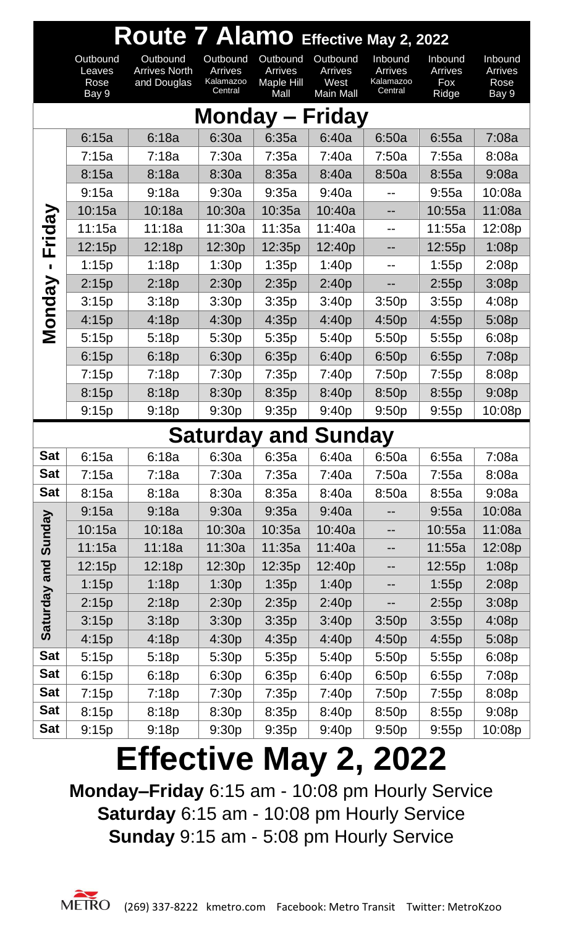|               | Route 7 Alamo Effective May 2, 2022 |                                                 |                                             |                                           |                                          |                                            |                                    |                                     |  |  |  |
|---------------|-------------------------------------|-------------------------------------------------|---------------------------------------------|-------------------------------------------|------------------------------------------|--------------------------------------------|------------------------------------|-------------------------------------|--|--|--|
|               | Outbound<br>Leaves<br>Rose<br>Bay 9 | Outbound<br><b>Arrives North</b><br>and Douglas | Outbound<br>Arrives<br>Kalamazoo<br>Central | Outbound<br>Arrives<br>Maple Hill<br>Mall | Outbound<br>Arrives<br>West<br>Main Mall | Inbound<br>Arrives<br>Kalamazoo<br>Central | Inbound<br>Arrives<br>Fox<br>Ridge | Inbound<br>Arrives<br>Rose<br>Bay 9 |  |  |  |
|               | Monday $-$<br><b>Friday</b>         |                                                 |                                             |                                           |                                          |                                            |                                    |                                     |  |  |  |
|               | 6:15a                               | 6:18a                                           | 6:30a                                       | 6:35a                                     | 6:40a                                    | 6:50a                                      | 6:55a                              | 7:08a                               |  |  |  |
|               | 7:15a                               | 7:18a                                           | 7:30a                                       | 7:35a                                     | 7:40a                                    | 7:50a                                      | 7:55a                              | 8:08a                               |  |  |  |
|               | 8:15a                               | 8:18a                                           | 8:30a                                       | 8:35a                                     | 8:40a                                    | 8:50a                                      | 8:55a                              | 9:08a                               |  |  |  |
|               | 9:15a                               | 9:18a                                           | 9:30a                                       | 9:35a                                     | 9:40a                                    |                                            | 9:55a                              | 10:08a                              |  |  |  |
| Friday        | 10:15a                              | 10:18a                                          | 10:30a                                      | 10:35a                                    | 10:40a                                   | --                                         | 10:55a                             | 11:08a                              |  |  |  |
|               | 11:15a                              | 11:18a                                          | 11:30a                                      | 11:35a                                    | 11:40a                                   |                                            | 11:55a                             | 12:08p                              |  |  |  |
|               | 12:15p                              | 12:18p                                          | 12:30p                                      | 12:35p                                    | 12:40p                                   |                                            | 12:55p                             | 1:08p                               |  |  |  |
|               | 1:15p                               | 1:18p                                           | 1:30p                                       | 1:35p                                     | 1:40p                                    |                                            | 1:55p                              | 2:08p                               |  |  |  |
| <b>Monday</b> | 2:15p                               | 2:18p                                           | 2:30p                                       | 2:35p                                     | 2:40p                                    |                                            | 2:55p                              | 3:08p                               |  |  |  |
|               | 3:15p                               | 3:18p                                           | 3:30p                                       | 3:35p                                     | 3:40p                                    | 3:50p                                      | 3:55p                              | 4:08p                               |  |  |  |
|               | 4:15p                               | 4:18p                                           | 4:30p                                       | 4:35p                                     | 4:40p                                    | 4:50p                                      | 4:55p                              | 5:08p                               |  |  |  |
|               | 5:15p                               | 5:18p                                           | 5:30p                                       | 5:35p                                     | 5:40p                                    | 5:50p                                      | 5:55p                              | 6:08p                               |  |  |  |
|               | 6:15p                               | 6:18p                                           | 6:30p                                       | 6:35p                                     | 6:40p                                    | 6:50p                                      | 6:55p                              | 7:08p                               |  |  |  |
|               | 7:15p                               | 7:18p                                           | 7:30p                                       | 7:35p                                     | 7:40p                                    | 7:50p                                      | 7:55p                              | 8:08p                               |  |  |  |
|               | 8:15p                               | 8:18p                                           | 8:30p                                       | 8:35p                                     | 8:40p                                    | 8:50p                                      | 8:55p                              | 9:08p                               |  |  |  |
|               | 9:15p                               | 9:18p                                           | 9:30p                                       | 9:35p                                     | 9:40p                                    | 9:50p                                      | 9:55p                              | 10:08p                              |  |  |  |
|               |                                     |                                                 |                                             | <b>Saturday and Sunday</b>                |                                          |                                            |                                    |                                     |  |  |  |
| <b>Sat</b>    | 6:15a                               | 6:18a                                           | 6:30a                                       | 6:35a                                     | 6:40a                                    | 6:50a                                      | 6:55a                              | 7:08a                               |  |  |  |
| <b>Sat</b>    | 7:15a                               | 7:18a                                           | 7:30a                                       | 7:35a                                     | 7:40a                                    | 7:50a                                      | 7:55a                              | 8:08a                               |  |  |  |
| <b>Sat</b>    | 8:15a                               | 8:18a                                           | 8:30a                                       | 8:35a                                     | 8:40a                                    | 8:50a                                      | 8:55a                              | 9:08a                               |  |  |  |
|               | 9:15a                               | 9:18a                                           | 9:30a                                       | 9:35a                                     | 9:40a                                    |                                            | 9:55a                              | 10:08a                              |  |  |  |
| Sunday        | 10:15a                              | 10:18a                                          | 10:30a                                      | 10:35a                                    | 10:40a                                   | --                                         | 10:55a                             | 11:08a                              |  |  |  |
|               | 11:15a                              | 11:18a                                          | 11:30a                                      | 11:35a                                    | 11:40a                                   | --                                         | 11:55a                             | 12:08p                              |  |  |  |
| Saturday and  | 12:15p                              | 12:18p                                          | 12:30p                                      | 12:35p                                    | 12:40p                                   |                                            | 12:55p                             | 1:08p                               |  |  |  |
|               | 1:15p                               | 1:18p                                           | 1:30p                                       | 1:35p                                     | 1:40p                                    | --                                         | 1:55p                              | 2:08p                               |  |  |  |
|               | 2:15p                               | 2:18p                                           | 2:30p                                       | 2:35p                                     | 2:40p                                    |                                            | 2:55p                              | 3:08p                               |  |  |  |
|               | 3:15p                               | 3:18p                                           | 3:30p                                       | 3:35p                                     | 3:40p                                    | 3:50p                                      | 3:55p                              | 4:08p                               |  |  |  |
|               | 4:15p                               | 4:18p                                           | 4:30p                                       | 4:35p                                     | 4:40p                                    | 4:50p                                      | 4:55p                              | 5:08p                               |  |  |  |
| <b>Sat</b>    | 5:15p                               | 5:18p                                           | 5:30p                                       | 5:35p                                     | 5:40p                                    | 5:50p                                      | 5:55p                              | 6:08p                               |  |  |  |
| <b>Sat</b>    | 6:15p                               | 6:18p                                           | 6:30p                                       | 6:35p                                     | 6:40p                                    | 6:50p                                      | 6:55p                              | 7:08p                               |  |  |  |
| <b>Sat</b>    | 7:15p                               | 7:18p                                           | 7:30p                                       | 7:35p                                     | 7:40p                                    | 7:50p                                      | 7:55p                              | 8:08p                               |  |  |  |
| <b>Sat</b>    | 8:15p                               | 8:18p                                           | 8:30p                                       | 8:35p                                     | 8:40p                                    | 8:50p                                      | 8:55p                              | 9:08p                               |  |  |  |
| <b>Sat</b>    | 9:15p                               | 9:18p                                           | 9:30p                                       | 9:35p                                     | 9:40p                                    | 9:50p                                      | 9:55p                              | 10:08p                              |  |  |  |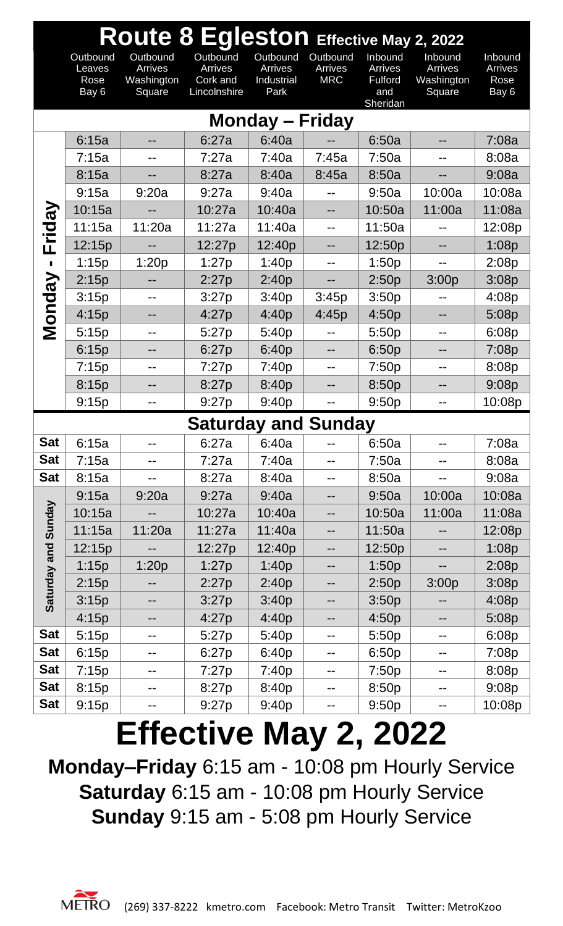|                | Route 8 Egleston Effective May 2, 2022 |                                             |                                                 |                                                  |                                   |                                                         |                                            |                                     |  |  |
|----------------|----------------------------------------|---------------------------------------------|-------------------------------------------------|--------------------------------------------------|-----------------------------------|---------------------------------------------------------|--------------------------------------------|-------------------------------------|--|--|
|                | Outbound<br>Leaves<br>Rose<br>Bay 6    | Outbound<br>Arrives<br>Washington<br>Square | Outbound<br>Arrives<br>Cork and<br>Lincolnshire | Outbound<br><b>Arrives</b><br>Industrial<br>Park | Outbound<br>Arrives<br><b>MRC</b> | Inbound<br>Arrives<br><b>Fulford</b><br>and<br>Sheridan | Inbound<br>Arrives<br>Washington<br>Square | Inbound<br>Arrives<br>Rose<br>Bay 6 |  |  |
|                |                                        |                                             |                                                 | <b>Monday – Friday</b>                           |                                   |                                                         |                                            |                                     |  |  |
|                | 6:15a                                  |                                             | 6:27a                                           | 6:40a                                            |                                   | 6:50a                                                   |                                            | 7:08a                               |  |  |
|                | 7:15a                                  |                                             | 7:27a                                           | 7:40a                                            | 7:45a                             | 7:50a                                                   |                                            | 8:08a                               |  |  |
|                | 8:15a                                  |                                             | 8:27a                                           | 8:40a                                            | 8:45a                             | 8:50a                                                   |                                            | 9:08a                               |  |  |
|                | 9:15a                                  | 9:20a                                       | 9:27a                                           | 9:40a                                            |                                   | 9:50a                                                   | 10:00a                                     | 10:08a                              |  |  |
|                | 10:15a                                 |                                             | 10:27a                                          | 10:40a                                           | --                                | 10:50a                                                  | 11:00a                                     | 11:08a                              |  |  |
|                | 11:15a                                 | 11:20a                                      | 11:27a                                          | 11:40a                                           | $-$                               | 11:50a                                                  |                                            | 12:08p                              |  |  |
| Friday         | 12:15p                                 |                                             | 12:27p                                          | 12:40p                                           |                                   | 12:50p                                                  | --                                         | 1:08p                               |  |  |
| $\blacksquare$ | 1:15p                                  | 1:20p                                       | 1:27p                                           | 1:40p                                            |                                   | 1:50p                                                   |                                            | 2:08p                               |  |  |
|                | 2:15p                                  |                                             | 2:27p                                           | 2:40p                                            |                                   | 2:50p                                                   | 3:00p                                      | 3:08p                               |  |  |
|                | 3:15p                                  | --                                          | 3:27p                                           | 3:40p                                            | 3:45p                             | 3:50p                                                   |                                            | 4:08p                               |  |  |
| Monday         | 4:15p                                  |                                             | 4:27p                                           | 4:40p                                            | 4:45p                             | 4:50p                                                   |                                            | 5:08p                               |  |  |
|                | 5:15p                                  | --                                          | 5:27p                                           | 5:40p                                            |                                   | 5:50p                                                   | --                                         | 6:08p                               |  |  |
|                | 6:15p                                  | --                                          | 6:27p                                           | 6:40p                                            | --                                | 6:50p                                                   | --                                         | 7:08p                               |  |  |
|                | 7:15p                                  |                                             | 7:27p                                           | 7:40p                                            | --                                | 7:50p                                                   | --                                         | 8:08p                               |  |  |
|                | 8:15p                                  |                                             | 8:27p                                           | 8:40p                                            |                                   | 8:50p                                                   |                                            | 9:08p                               |  |  |
|                | 9:15p                                  | --                                          | 9:27p                                           | 9:40p                                            |                                   | 9:50p                                                   | --                                         | 10:08p                              |  |  |
|                |                                        |                                             | <b>Saturday and Sunday</b>                      |                                                  |                                   |                                                         |                                            |                                     |  |  |
| <b>Sat</b>     | 6:15a                                  |                                             | 6:27a                                           | 6:40a                                            |                                   | 6:50a                                                   | --                                         | 7:08a                               |  |  |
| <b>Sat</b>     | 7:15a                                  |                                             | 7:27a                                           | 7:40a                                            | --                                | 7:50a                                                   | --                                         | 8:08a                               |  |  |
| <b>Sat</b>     | 8:15a                                  |                                             | 8:27a                                           | 8:40a                                            | --                                | 8:50a                                                   |                                            | 9:08a                               |  |  |
|                | 9:15a                                  | 9:20a                                       | 9:27a                                           | 9:40a                                            | --                                | 9:50a                                                   | 10:00a                                     | 10:08a                              |  |  |
| Sunday         | 10:15a                                 |                                             | 10:27a                                          | 10:40a                                           | --                                | 10:50a                                                  | 11:00a                                     | 11:08a                              |  |  |
|                | 11:15a                                 | 11:20a                                      | 11:27a                                          | 11:40a                                           | --                                | 11:50a                                                  |                                            | 12:08p                              |  |  |
|                | 12:15p                                 |                                             | 12:27p                                          | 12:40p                                           | --                                | 12:50p                                                  | --                                         | 1:08p                               |  |  |
|                | 1:15p                                  | 1:20p                                       | 1:27p                                           | 1:40p                                            | --                                | 1:50p                                                   | --                                         | 2:08p                               |  |  |
|                | 2:15p                                  |                                             | 2:27p                                           | 2:40p                                            |                                   | 2:50p                                                   | 3:00p                                      | 3:08p                               |  |  |
| Saturday and   | 3:15p                                  | --                                          | 3:27p                                           | 3:40p                                            | --                                | 3:50p                                                   | --                                         | 4:08p                               |  |  |
|                | 4:15p                                  | --                                          | 4:27p                                           | 4:40p                                            | --                                | 4:50p                                                   | --                                         | 5:08p                               |  |  |
| <b>Sat</b>     | 5:15p                                  | --                                          | 5:27p                                           | 5:40p                                            | --                                | 5:50p                                                   | --                                         | 6:08p                               |  |  |
| <b>Sat</b>     | 6:15p                                  | --                                          | 6:27p                                           | 6:40p                                            | --                                | 6:50p                                                   | --                                         | 7:08p                               |  |  |
| <b>Sat</b>     | 7:15p                                  | --                                          | 7:27p                                           | 7:40p                                            | --                                | 7:50p                                                   | --                                         | 8:08p                               |  |  |
| <b>Sat</b>     | 8:15p                                  | --                                          | 8:27p                                           | 8:40p                                            | --                                | 8:50p                                                   | --                                         | 9:08p                               |  |  |
| <b>Sat</b>     | 9:15p                                  | --                                          | 9:27p                                           | 9:40p                                            | --                                | 9:50p                                                   | --                                         | 10:08p                              |  |  |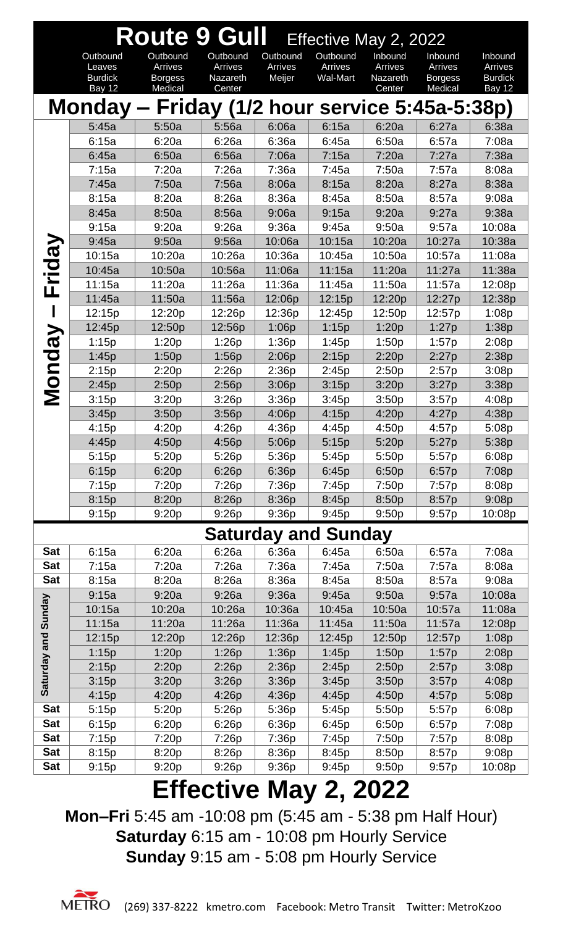|                            |                          | <b>Route 9 Gull</b>              |                                       |                   | Effective May 2, 2022      |                     |                                  |                           |
|----------------------------|--------------------------|----------------------------------|---------------------------------------|-------------------|----------------------------|---------------------|----------------------------------|---------------------------|
|                            | Outbound                 | Outbound                         | Outbound                              | Outbound          | Outbound                   | Inbound             | Inbound                          | Inbound                   |
|                            | Leaves<br><b>Burdick</b> | <b>Arrives</b><br><b>Borgess</b> | Arrives<br>Nazareth                   | Arrives<br>Meijer | Arrives<br><b>Wal-Mart</b> | Arrives<br>Nazareth | <b>Arrives</b><br><b>Borgess</b> | Arrives<br><b>Burdick</b> |
|                            | <b>Bay 12</b>            | Medical                          | Center                                |                   |                            | Center              | Medical                          | Bay 12                    |
|                            | Monday-                  |                                  | Friday (1/2 hour service 5:45a-5:38p) |                   |                            |                     |                                  |                           |
|                            | 5:45a                    | 5:50a                            | 5:56a                                 | 6:06a             | 6:15a                      | 6:20a               | 6:27a                            | 6:38a                     |
|                            | 6:15a                    | 6:20a                            | 6:26a                                 | 6:36a             | 6:45a                      | 6:50a               | 6:57a                            | 7:08a                     |
|                            | 6:45a                    | 6:50a                            | 6:56a                                 | 7:06a             | 7:15a                      | 7:20a               | 7:27a                            | 7:38a                     |
|                            | 7:15a                    | 7:20a                            | 7:26a                                 | 7:36a             | 7:45a                      | 7:50a               | 7:57a                            | 8:08a                     |
|                            | 7:45a                    | 7:50a                            | 7:56a                                 | 8:06a             | 8:15a                      | 8:20a               | 8:27a                            | 8:38a                     |
|                            | 8:15a                    | 8:20a                            | 8:26a                                 | 8:36a             | 8:45a                      | 8:50a               | 8:57a                            | 9:08a                     |
|                            | 8:45a                    | 8:50a                            | 8:56a                                 | 9:06a             | 9:15a                      | 9:20a               | 9:27a                            | 9:38a                     |
|                            | 9:15a                    | 9:20a                            | 9:26a                                 | 9:36a             | 9:45a                      | 9:50a               | 9:57a                            | 10:08a                    |
|                            | 9:45a                    | 9:50a                            | 9:56a                                 | 10:06a            | 10:15a                     | 10:20a              | 10:27a                           | 10:38a                    |
| ida <sup>"</sup>           | 10:15a                   | 10:20a                           | 10:26a                                | 10:36a            | 10:45a                     | 10:50a              | 10:57a                           | 11:08a                    |
|                            | 10:45a                   | 10:50a                           | 10:56a                                | 11:06a            | 11:15a                     | 11:20a              | 11:27a                           | 11:38a                    |
| $\blacktriangleright$<br>ட | 11:15a                   | 11:20a                           | 11:26a                                | 11:36a            | 11:45a                     | 11:50a              | 11:57a                           | 12:08p                    |
|                            | 11:45a                   | 11:50a                           | 11:56a                                | 12:06p            | 12:15p                     | 12:20p              | 12:27p                           | 12:38p                    |
|                            | 12:15p                   | 12:20p                           | 12:26p                                | 12:36p            | 12:45p                     | 12:50p              | 12:57p                           | 1:08p                     |
| λg                         | 12:45p                   | 12:50p                           | 12:56p                                | 1:06p             | 1:15p                      | 1:20p               | 1:27p                            | 1:38p                     |
|                            | 1:15p                    | 1:20p                            | 1:26p                                 | 1:36p             | 1:45p                      | 1:50p               | 1:57p                            | 2:08p                     |
| <b>DUO</b>                 | 1:45p                    | 1:50p                            | 1:56p                                 | 2:06p             | 2:15p                      | 2:20p               | 2:27p                            | 2:38p                     |
|                            | 2:15p                    | 2:20p                            | 2:26p                                 | 2:36p             | 2:45p                      | 2:50p               | 2:57p                            | 3:08p                     |
|                            | 2:45p                    | 2:50p                            | 2:56p                                 | 3:06p             | 3:15p                      | 3:20p               | 3:27p                            | 3:38p                     |
| Σ                          | 3:15p                    | 3:20p                            | 3:26p                                 | 3:36p             | 3:45p                      | 3:50p               | 3:57p                            | 4:08p                     |
|                            | 3:45p                    | 3:50p                            | 3:56p                                 | 4:06p             | 4:15p                      | 4:20p               | 4:27p                            | 4:38p                     |
|                            | 4:15p                    | 4:20p                            | 4:26p                                 | 4:36p             | 4:45p                      | 4:50p               | 4:57p                            | 5:08p                     |
|                            | 4:45p                    | 4:50p                            | 4:56p                                 | 5:06p             | 5:15p                      | 5:20p               | 5:27p                            | 5:38p                     |
|                            | 5:15p                    | 5:20p                            | 5:26p                                 | 5:36p             | 5:45p                      | 5:50p               | 5:57p                            | 6:08p                     |
|                            | 6:15p                    | 6:20p                            | 6:26p                                 | 6:36p<br>7:36p    | 6:45p                      | 6:50p               | 6:57p                            | 7:08p                     |
|                            | 7:15p<br>8:15p           | 7:20p<br>8:20p                   | 7:26p<br>8:26p                        | 8:36p             | 7:45p<br>8:45p             | 7:50p<br>8:50p      | 7:57p<br>8:57p                   | 8:08p<br>9:08p            |
|                            | 9:15p                    | 9:20p                            | 9:26p                                 | 9:36p             | 9:45p                      | 9:50p               | 9:57p                            | 10:08p                    |
|                            |                          |                                  |                                       |                   |                            |                     |                                  |                           |
|                            |                          |                                  |                                       |                   | <b>Saturday and Sunday</b> |                     |                                  |                           |
| <b>Sat</b>                 | 6:15a                    | 6:20a                            | 6:26a                                 | 6:36a             | 6:45a                      | 6:50a               | 6:57a                            | 7:08a                     |
| <b>Sat</b>                 | 7:15a                    | 7:20a                            | 7:26a                                 | 7:36a             | 7:45a                      | 7:50a               | 7:57a                            | 8:08a                     |
| <b>Sat</b>                 | 8:15a                    | 8:20a                            | 8:26a                                 | 8:36a             | 8:45a                      | 8:50a               | 8:57a                            | 9:08a                     |
|                            | 9:15a                    | 9:20a                            | 9:26a                                 | 9:36a             | 9:45a                      | 9:50a               | 9:57a                            | 10:08a                    |
|                            | 10:15a                   | 10:20a                           | 10:26a                                | 10:36a            | 10:45a                     | 10:50a              | 10:57a                           | 11:08a                    |
|                            | 11:15a                   | 11:20a                           | 11:26a                                | 11:36a            | 11:45a                     | 11:50a              | 11:57a                           | 12:08p                    |
|                            | 12:15p                   | 12:20p                           | 12:26p                                | 12:36p            | 12:45p                     | 12:50p              | 12:57p                           | 1:08p                     |
|                            | 1:15p                    | 1:20p                            | 1:26p                                 | 1:36p             | 1:45p                      | 1:50p               | 1:57p                            | 2:08p                     |
| Saturday and Sunday        | 2:15p                    | 2:20p                            | 2:26p                                 | 2:36p             | 2:45p                      | 2:50p               | 2:57p                            | 3:08p                     |
|                            | 3:15p                    | 3:20p                            | 3:26p                                 | 3:36p             | 3:45p                      | 3:50p               | 3:57p                            | 4:08p                     |
| <b>Sat</b>                 | 4:15p                    | 4:20p                            | 4:26p                                 | 4:36p             | 4:45p                      | 4:50p               | 4:57p                            | 5:08p                     |
| <b>Sat</b>                 | 5:15p<br>6:15p           | 5:20p<br>6:20p                   | 5:26p<br>6:26p                        | 5:36p<br>6:36p    | 5:45p<br>6:45p             | 5:50p<br>6:50p      | 5:57p<br>6:57p                   | 6:08p<br>7:08p            |
| <b>Sat</b>                 | 7:15p                    | 7:20p                            | 7:26p                                 | 7:36p             | 7:45p                      | 7:50p               | 7:57p                            | 8:08p                     |
| <b>Sat</b>                 | 8:15p                    | 8:20p                            | 8:26p                                 | 8:36p             | 8:45p                      | 8:50p               | 8:57p                            | 9:08p                     |
| <b>Sat</b>                 | 9:15p                    | 9:20p                            | 9:26p                                 | 9:36p             | 9:45p                      | 9:50p               | 9:57p                            | 10:08p                    |
|                            |                          | m cc                             | ◢▝                                    |                   |                            |                     |                                  |                           |

**Mon–Fri** 5:45 am -10:08 pm (5:45 am - 5:38 pm Half Hour) **Saturday** 6:15 am - 10:08 pm Hourly Service **Sunday** 9:15 am - 5:08 pm Hourly Service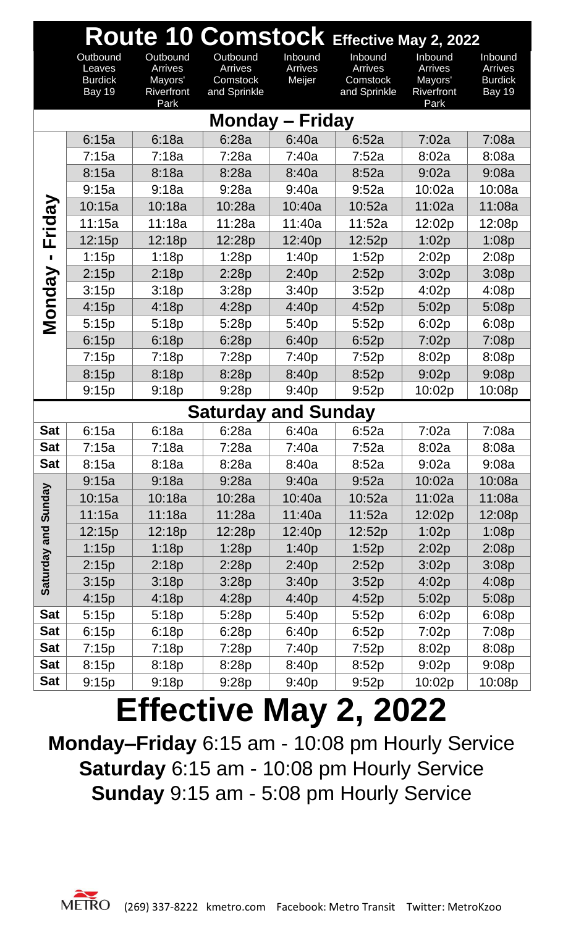|                     | Route 10 Comstock Effective May 2, 2022               |                                                                    |                                                 |                              |                                                |                                                     |                                                       |  |  |  |
|---------------------|-------------------------------------------------------|--------------------------------------------------------------------|-------------------------------------------------|------------------------------|------------------------------------------------|-----------------------------------------------------|-------------------------------------------------------|--|--|--|
|                     | Outbound<br>Leaves<br><b>Burdick</b><br><b>Bay 19</b> | Outbound<br><b>Arrives</b><br>Mayors'<br><b>Riverfront</b><br>Park | Outbound<br>Arrives<br>Comstock<br>and Sprinkle | Inbound<br>Arrives<br>Meijer | Inbound<br>Arrives<br>Comstock<br>and Sprinkle | Inbound<br>Arrives<br>Mayors'<br>Riverfront<br>Park | Inbound<br>Arrives<br><b>Burdick</b><br><b>Bay 19</b> |  |  |  |
|                     | <b>Monday - Friday</b>                                |                                                                    |                                                 |                              |                                                |                                                     |                                                       |  |  |  |
|                     | 6:15a                                                 | 6:18a                                                              | 6:28a                                           | 6:40a                        | 6:52a                                          | 7:02a                                               | 7:08a                                                 |  |  |  |
|                     | 7:15a                                                 | 7:18a                                                              | 7:28a                                           | 7:40a                        | 7:52a                                          | 8:02a                                               | 8:08a                                                 |  |  |  |
|                     | 8:15a                                                 | 8:18a                                                              | 8:28a                                           | 8:40a                        | 8:52a                                          | 9:02a                                               | 9:08a                                                 |  |  |  |
|                     | 9:15a                                                 | 9:18a                                                              | 9:28a                                           | 9:40a                        | 9:52a                                          | 10:02a                                              | 10:08a                                                |  |  |  |
| Friday              | 10:15a                                                | 10:18a                                                             | 10:28a                                          | 10:40a                       | 10:52a                                         | 11:02a                                              | 11:08a                                                |  |  |  |
|                     | 11:15a                                                | 11:18a                                                             | 11:28a                                          | 11:40a                       | 11:52a                                         | 12:02p                                              | 12:08p                                                |  |  |  |
|                     | 12:15p                                                | 12:18p                                                             | 12:28p                                          | 12:40p                       | 12:52p                                         | 1:02p                                               | 1:08p                                                 |  |  |  |
| П                   | 1:15p                                                 | 1:18p                                                              | 1:28p                                           | 1:40p                        | 1:52p                                          | 2:02p                                               | 2:08p                                                 |  |  |  |
|                     | 2:15p                                                 | 2:18p                                                              | 2:28p                                           | 2:40p                        | 2:52p                                          | 3:02p                                               | 3:08p                                                 |  |  |  |
| <b>Monday</b>       | 3:15p                                                 | 3:18p                                                              | 3:28p                                           | 3:40p                        | 3:52p                                          | 4:02p                                               | 4:08p                                                 |  |  |  |
|                     | 4:15p                                                 | 4:18p                                                              | 4:28p                                           | 4:40p                        | 4:52p                                          | 5:02p                                               | 5:08p                                                 |  |  |  |
|                     | 5:15p                                                 | 5:18p                                                              | 5:28p                                           | 5:40p                        | 5:52p                                          | 6:02p                                               | 6:08p                                                 |  |  |  |
|                     | 6:15p                                                 | 6:18p                                                              | 6:28p                                           | 6:40p                        | 6:52p                                          | 7:02p                                               | 7:08p                                                 |  |  |  |
|                     | 7:15p                                                 | 7:18p                                                              | 7:28p                                           | 7:40p                        | 7:52p                                          | 8:02p                                               | 8:08p                                                 |  |  |  |
|                     | 8:15p                                                 | 8:18p                                                              | 8:28p                                           | 8:40p                        | 8:52p                                          | 9:02p                                               | 9:08p                                                 |  |  |  |
|                     | 9:15p                                                 | 9:18p                                                              | 9:28p                                           | 9:40p                        | 9:52p                                          | 10:02p                                              | 10:08p                                                |  |  |  |
|                     |                                                       |                                                                    | <b>Saturday and Sunday</b>                      |                              |                                                |                                                     |                                                       |  |  |  |
| Sat                 | 6:15a                                                 | 6:18a                                                              | 6:28a                                           | 6:40a                        | 6:52a                                          | 7:02a                                               | 7:08a                                                 |  |  |  |
| <b>Sat</b>          | 7:15a                                                 | 7:18a                                                              | 7:28a                                           | 7:40a                        | 7:52a                                          | 8:02a                                               | 8:08a                                                 |  |  |  |
| <b>Sat</b>          | 8:15a                                                 | 8:18a                                                              | 8:28a                                           | 8:40a                        | 8:52a                                          | 9:02a                                               | 9:08a                                                 |  |  |  |
|                     | 9:15a                                                 | 9:18a                                                              | 9:28a                                           | 9:40a                        | 9:52a                                          | 10:02a                                              | 10:08a                                                |  |  |  |
|                     | 10:15a                                                | 10:18a                                                             | 10:28a                                          | 10:40a                       | 10:52a                                         | 11:02a                                              | 11:08a                                                |  |  |  |
| Saturday and Sunday | 11:15a                                                | 11:18a                                                             | 11:28a                                          | 11:40a                       | 11:52a                                         | 12:02p                                              | 12:08p                                                |  |  |  |
|                     | 12:15p                                                | 12:18p                                                             | 12:28p                                          | 12:40p                       | 12:52p                                         | 1:02p                                               | 1:08p                                                 |  |  |  |
|                     | 1:15p                                                 | 1:18p                                                              | 1:28p                                           | 1:40p                        | 1:52p                                          | 2:02p                                               | 2:08p                                                 |  |  |  |
|                     | 2:15p                                                 | 2:18p                                                              | 2:28p                                           | 2:40p                        | 2:52p                                          | 3:02p                                               | 3:08p                                                 |  |  |  |
|                     | 3:15p                                                 | 3:18p                                                              | 3:28p                                           | 3:40p                        | 3:52p                                          | 4:02p                                               | 4:08p                                                 |  |  |  |
|                     | 4:15p                                                 | 4:18p                                                              | 4:28p                                           | 4:40p                        | 4:52p                                          | 5:02p                                               | 5:08p                                                 |  |  |  |
| <b>Sat</b>          | 5:15p                                                 | 5:18p                                                              | 5:28p                                           | 5:40p                        | 5:52p                                          | 6:02p                                               | 6:08p                                                 |  |  |  |
| Sat                 | 6:15p                                                 | 6:18p                                                              | 6:28p                                           | 6:40p                        | 6:52p                                          | 7:02p                                               | 7:08p                                                 |  |  |  |
| <b>Sat</b>          | 7:15p                                                 | 7:18p                                                              | 7:28p                                           | 7:40p                        | 7:52p                                          | 8:02p                                               | 8:08p                                                 |  |  |  |
| <b>Sat</b>          | 8:15p                                                 | 8:18p                                                              | 8:28p                                           | 8:40p                        | 8:52p                                          | 9:02p                                               | 9:08p                                                 |  |  |  |
| Sat                 | 9:15p                                                 | 9:18p                                                              | 9:28p                                           | 9:40p                        | 9:52p                                          | 10:02p                                              | 10:08p                                                |  |  |  |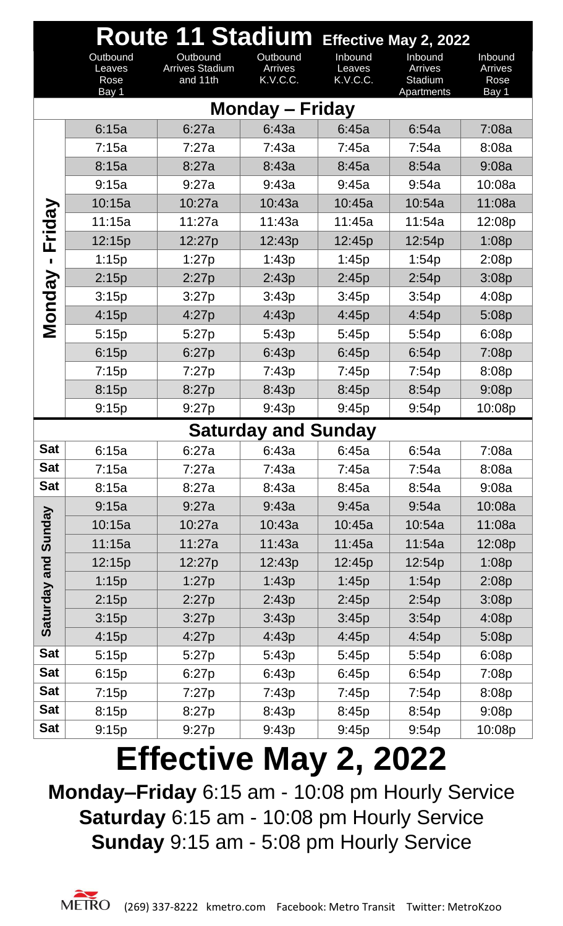|               | Route 11 Stadium Effective May 2, 2022 |                                                |                                 |                               |                                             |                                     |  |  |  |  |
|---------------|----------------------------------------|------------------------------------------------|---------------------------------|-------------------------------|---------------------------------------------|-------------------------------------|--|--|--|--|
|               | Outbound<br>Leaves<br>Rose<br>Bay 1    | Outbound<br><b>Arrives Stadium</b><br>and 11th | Outbound<br>Arrives<br>K.V.C.C. | Inbound<br>Leaves<br>K.V.C.C. | Inbound<br>Arrives<br>Stadium<br>Apartments | Inbound<br>Arrives<br>Rose<br>Bay 1 |  |  |  |  |
|               |                                        |                                                | <b>Monday – Friday</b>          |                               |                                             |                                     |  |  |  |  |
|               | 6:15a                                  | 6:27a                                          | 6:43a                           | 6:45a                         | 6:54a                                       | 7:08a                               |  |  |  |  |
|               | 7:15a                                  | 7:27a                                          | 7:43a                           | 7:45a                         | 7:54a                                       | 8:08a                               |  |  |  |  |
|               | 8:15a                                  | 8:27a                                          | 8:43a                           | 8:45a                         | 8:54a                                       | 9:08a                               |  |  |  |  |
|               | 9:15a                                  | 9:27a                                          | 9:43a                           | 9:45a                         | 9:54a                                       | 10:08a                              |  |  |  |  |
|               | 10:15a                                 | 10:27a                                         | 10:43a                          | 10:45a                        | 10:54a                                      | 11:08a                              |  |  |  |  |
| Friday        | 11:15a                                 | 11:27a                                         | 11:43a                          | 11:45a                        | 11:54a                                      | 12:08p                              |  |  |  |  |
|               | 12:15p                                 | 12:27p                                         | 12:43p                          | 12:45p                        | 12:54p                                      | 1:08p                               |  |  |  |  |
|               | 1:15p                                  | 1:27p                                          | 1:43p                           | 1:45p                         | 1:54p                                       | 2:08p                               |  |  |  |  |
|               | 2:15p                                  | 2:27p                                          | 2:43p                           | 2:45p                         | 2:54p                                       | 3:08p                               |  |  |  |  |
|               | 3:15p                                  | 3:27p                                          | 3:43p                           | 3:45p                         | 3:54p                                       | 4:08p                               |  |  |  |  |
| <b>Monday</b> | 4:15p                                  | 4:27p                                          | 4:43p                           | 4:45p                         | 4:54p                                       | 5:08p                               |  |  |  |  |
|               | 5:15p                                  | 5:27p                                          | 5:43p                           | 5:45p                         | 5:54p                                       | 6:08p                               |  |  |  |  |
|               | 6:15p                                  | 6:27p                                          | 6:43p                           | 6:45p                         | 6:54p                                       | 7:08p                               |  |  |  |  |
|               | 7:15p                                  | 7:27p                                          | 7:43p                           | 7:45p                         | 7:54p                                       | 8:08p                               |  |  |  |  |
|               | 8:15p                                  | 8:27p                                          | 8:43p                           | 8:45p                         | 8:54p                                       | 9:08p                               |  |  |  |  |
|               | 9:15p                                  | 9:27p                                          | 9:43p                           | 9:45p                         | 9:54p                                       | 10:08p                              |  |  |  |  |
|               |                                        |                                                | <b>Saturday and Sunday</b>      |                               |                                             |                                     |  |  |  |  |
| <b>Sat</b>    | 6:15a                                  | 6:27a                                          | 6:43a                           | 6:45a                         | 6:54a                                       | 7:08a                               |  |  |  |  |
| <b>Sat</b>    | 7:15a                                  | 7:27a                                          | 7:43a                           | 7:45a                         | 7:54a                                       | 8:08a                               |  |  |  |  |
| <b>Sat</b>    | 8:15a                                  | 8:27a                                          | 8:43a                           | 8:45a                         | 8:54a                                       | 9:08a                               |  |  |  |  |
|               | 9:15a                                  | 9:27a                                          | 9:43a                           | 9:45a                         | 9:54a                                       | 10:08a                              |  |  |  |  |
| Sunday        | 10:15a                                 | 10:27a                                         | 10:43a                          | 10:45a                        | 10:54a                                      | 11:08a                              |  |  |  |  |
|               | 11:15a                                 | 11:27a                                         | 11:43a                          | 11:45a                        | 11:54a                                      | 12:08p                              |  |  |  |  |
| and           | 12:15p                                 | 12:27p                                         | 12:43p                          | 12:45p                        | 12:54p                                      | 1:08p                               |  |  |  |  |
|               | 1:15p                                  | 1:27p                                          | 1:43p                           | 1:45p                         | 1:54p                                       | 2:08p                               |  |  |  |  |
| Saturday      | 2:15p                                  | 2:27p                                          | 2:43p                           | 2:45p                         | 2:54p                                       | 3:08p                               |  |  |  |  |
|               | 3:15p                                  | 3:27p                                          | 3:43p                           | 3:45p                         | 3:54p                                       | 4:08p                               |  |  |  |  |
|               | 4:15p                                  | 4:27p                                          | 4:43p                           | 4:45p                         | 4:54p                                       | 5:08p                               |  |  |  |  |
| <b>Sat</b>    | 5:15p                                  | 5:27p                                          | 5:43p                           | 5:45p                         | 5:54p                                       | 6:08p                               |  |  |  |  |
| <b>Sat</b>    | 6:15p                                  | 6:27p                                          | 6:43p                           | 6:45p                         | 6:54p                                       | 7:08p                               |  |  |  |  |
| <b>Sat</b>    | 7:15p                                  | 7:27p                                          | 7:43p                           | 7:45p                         | 7:54p                                       | 8:08p                               |  |  |  |  |
| <b>Sat</b>    | 8:15p                                  | 8:27p                                          | 8:43p                           | 8:45p                         | 8:54p                                       | 9:08p                               |  |  |  |  |
| <b>Sat</b>    | 9:15p                                  | 9:27p                                          | 9:43p                           | 9:45p                         | 9:54p                                       | 10:08p                              |  |  |  |  |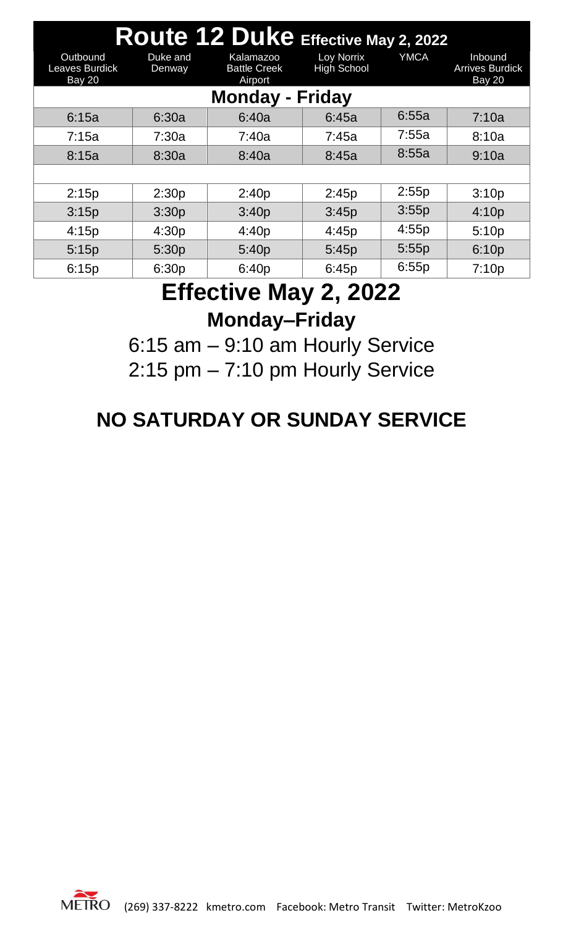| Route 12 Duke Effective May 2, 2022         |                        |                                             |                                  |             |                                                    |  |  |  |  |  |
|---------------------------------------------|------------------------|---------------------------------------------|----------------------------------|-------------|----------------------------------------------------|--|--|--|--|--|
| Outbound<br>Leaves Burdick<br><b>Bay 20</b> | Duke and<br>Denway     | Kalamazoo<br><b>Battle Creek</b><br>Airport | Loy Norrix<br><b>High School</b> | <b>YMCA</b> | Inbound<br><b>Arrives Burdick</b><br><b>Bay 20</b> |  |  |  |  |  |
|                                             | <b>Monday - Friday</b> |                                             |                                  |             |                                                    |  |  |  |  |  |
| 6:15a                                       | 6:30a                  | 6:40a                                       | 6:45a                            | 6:55a       | 7:10a                                              |  |  |  |  |  |
| 7:15a                                       | 7:30a                  | 7:40a                                       | 7:45a                            | 7:55a       | 8:10a                                              |  |  |  |  |  |
| 8:15a                                       | 8:30a                  | 8:40a                                       | 8:45a                            | 8:55a       | 9:10a                                              |  |  |  |  |  |
|                                             |                        |                                             |                                  |             |                                                    |  |  |  |  |  |
| 2:15p                                       | 2:30p                  | 2:40p                                       | 2:45p                            | 2:55p       | 3:10p                                              |  |  |  |  |  |
| 3:15p                                       | 3:30p                  | 3:40p                                       | 3:45p                            | 3:55p       | 4:10p                                              |  |  |  |  |  |
| 4:15p                                       | 4:30p                  | 4:40p                                       | 4:45p                            | 4:55p       | 5:10p                                              |  |  |  |  |  |
| 5:15p                                       | 5:30p                  | 5:40p                                       | 5:45p                            | 5:55p       | 6:10p                                              |  |  |  |  |  |
| 6:15p                                       | 6:30p                  | 6:40p                                       | 6:45p                            | 6:55p       | 7:10p                                              |  |  |  |  |  |

### **Effective May 2, 2022 Monday–Friday**

6:15 am – 9:10 am Hourly Service 2:15 pm – 7:10 pm Hourly Service

#### **NO SATURDAY OR SUNDAY SERVICE**

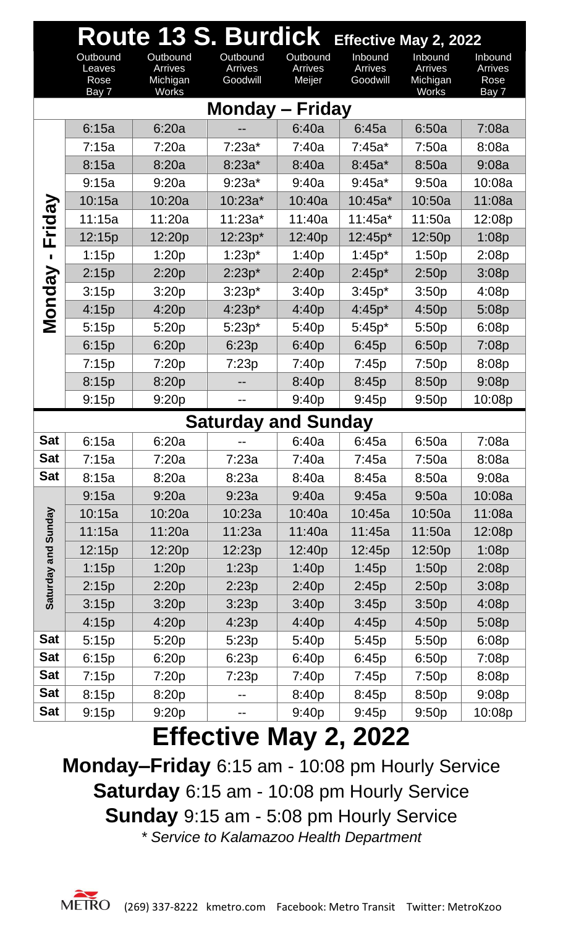|                        | Route 13 S. Burdick Effective May 2, 2022 |                                                 |                                 |                               |                                |                                                |                                     |  |  |
|------------------------|-------------------------------------------|-------------------------------------------------|---------------------------------|-------------------------------|--------------------------------|------------------------------------------------|-------------------------------------|--|--|
|                        | Outbound<br>Leaves<br>Rose<br>Bay 7       | Outbound<br>Arrives<br>Michigan<br><b>Works</b> | Outbound<br>Arrives<br>Goodwill | Outbound<br>Arrives<br>Meijer | Inbound<br>Arrives<br>Goodwill | Inbound<br>Arrives<br>Michigan<br><b>Works</b> | Inbound<br>Arrives<br>Rose<br>Bay 7 |  |  |
| <b>Monday – Friday</b> |                                           |                                                 |                                 |                               |                                |                                                |                                     |  |  |
|                        | 6:15a                                     | 6:20a                                           |                                 | 6:40a                         | 6:45a                          | 6:50a                                          | 7:08a                               |  |  |
|                        | 7:15a                                     | 7:20a                                           | $7:23a*$                        | 7:40a                         | $7:45a*$                       | 7:50a                                          | 8:08a                               |  |  |
|                        | 8:15a                                     | 8:20a                                           | $8:23a*$                        | 8:40a                         | $8:45a*$                       | 8:50a                                          | 9:08a                               |  |  |
|                        | 9:15a                                     | 9:20a                                           | $9:23a*$                        | 9:40a                         | $9:45a*$                       | 9:50a                                          | 10:08a                              |  |  |
| Friday                 | 10:15a                                    | 10:20a                                          | $10:23a*$                       | 10:40a                        | $10:45a*$                      | 10:50a                                         | 11:08a                              |  |  |
|                        | 11:15a                                    | 11:20a                                          | $11:23a*$                       | 11:40a                        | $11:45a*$                      | 11:50a                                         | 12:08p                              |  |  |
|                        | 12:15p                                    | 12:20p                                          | 12:23p*                         | 12:40p                        | 12:45p*                        | 12:50p                                         | 1:08p                               |  |  |
|                        | 1:15p                                     | 1:20p                                           | $1:23p*$                        | 1:40p                         | $1:45p*$                       | 1:50p                                          | 2:08p                               |  |  |
| <b>Monday</b>          | 2:15p                                     | 2:20p                                           | $2:23p*$                        | 2:40p                         | $2:45p*$                       | 2:50p                                          | 3:08p                               |  |  |
|                        | 3:15p                                     | 3:20p                                           | $3:23p*$                        | 3:40p                         | $3:45p*$                       | 3:50p                                          | 4:08p                               |  |  |
|                        | 4:15p                                     | 4:20p                                           | $4:23p*$                        | 4:40p                         | $4:45p*$                       | 4:50p                                          | 5:08p                               |  |  |
|                        | 5:15p                                     | 5:20p                                           | $5:23p*$                        | 5:40p                         | $5:45p*$                       | 5:50p                                          | 6:08p                               |  |  |
|                        | 6:15p                                     | 6:20p                                           | 6:23p                           | 6:40p                         | 6:45p                          | 6:50p                                          | 7:08p                               |  |  |
|                        | 7:15p                                     | 7:20p                                           | 7:23p                           | 7:40p                         | 7:45p                          | 7:50p                                          | 8:08p                               |  |  |
|                        | 8:15p                                     | 8:20p                                           |                                 | 8:40p                         | 8:45p                          | 8:50p                                          | 9:08p                               |  |  |
|                        | 9:15p                                     | 9:20p                                           |                                 | 9:40p                         | 9:45p                          | 9:50p                                          | 10:08p                              |  |  |
|                        |                                           |                                                 | <b>Saturday and Sunday</b>      |                               |                                |                                                |                                     |  |  |
| <b>Sat</b>             | 6:15a                                     | 6:20a                                           |                                 | 6:40a                         | 6:45a                          | 6:50a                                          | 7:08a                               |  |  |
| <b>Sat</b>             | 7:15a                                     | 7:20a                                           | 7:23a                           | 7:40a                         | 7:45a                          | 7:50a                                          | 8:08a                               |  |  |
| <b>Sat</b>             | 8:15a                                     | 8:20a                                           | 8:23a                           | 8:40a                         | 8:45a                          | 8:50a                                          | 9:08a                               |  |  |
|                        | 9:15a                                     | 9:20a                                           | 9:23a                           | 9:40a                         | 9:45a                          | 9:50a                                          | 10:08a                              |  |  |
|                        | 10:15a                                    | 10:20a                                          | 10:23a                          | 10:40a                        | 10:45a                         | 10:50a                                         | 11:08a                              |  |  |
| Saturday and Sunday    | 11:15a                                    | 11:20a                                          | 11:23a                          | 11:40a                        | 11:45a                         | 11:50a                                         | 12:08p                              |  |  |
|                        | 12:15p                                    | 12:20p                                          | 12:23p                          | 12:40p                        | 12:45p                         | 12:50p                                         | 1:08p                               |  |  |
|                        | 1:15p                                     | 1:20p                                           | 1:23p                           | 1:40p                         | 1:45p                          | 1:50p                                          | 2:08p                               |  |  |
|                        | 2:15p                                     | 2:20p                                           | 2:23p                           | 2:40p                         | 2:45p                          | 2:50p                                          | 3:08p                               |  |  |
|                        | 3:15p                                     | 3:20p                                           | 3:23p                           | 3:40p                         | 3:45p                          | 3:50p                                          | 4:08p                               |  |  |
|                        | 4:15p                                     | 4:20p                                           | 4:23p                           | 4:40p                         | 4:45p                          | 4:50p                                          | 5:08p                               |  |  |
| <b>Sat</b>             | 5:15p                                     | 5:20p                                           | 5:23p                           | 5:40p                         | 5:45p                          | 5:50p                                          | 6:08p                               |  |  |
| <b>Sat</b>             | 6:15p                                     | 6:20p                                           | 6:23p                           | 6:40p                         | 6:45p                          | 6:50p                                          | 7:08p                               |  |  |
| <b>Sat</b>             | 7:15p                                     | 7:20p                                           | 7:23p                           | 7:40p                         | 7:45p                          | 7:50p                                          | 8:08p                               |  |  |
| <b>Sat</b>             | 8:15p                                     | 8:20p                                           |                                 | 8:40p                         | 8:45p                          | 8:50p                                          | 9:08p                               |  |  |
| <b>Sat</b>             | 9:15p                                     | 9:20p                                           |                                 | 9:40p                         | 9:45p                          | 9:50p                                          | 10:08p                              |  |  |

**Monday–Friday** 6:15 am - 10:08 pm Hourly Service **Saturday** 6:15 am - 10:08 pm Hourly Service **Sunday** 9:15 am - 5:08 pm Hourly Service *\* Service to Kalamazoo Health Department*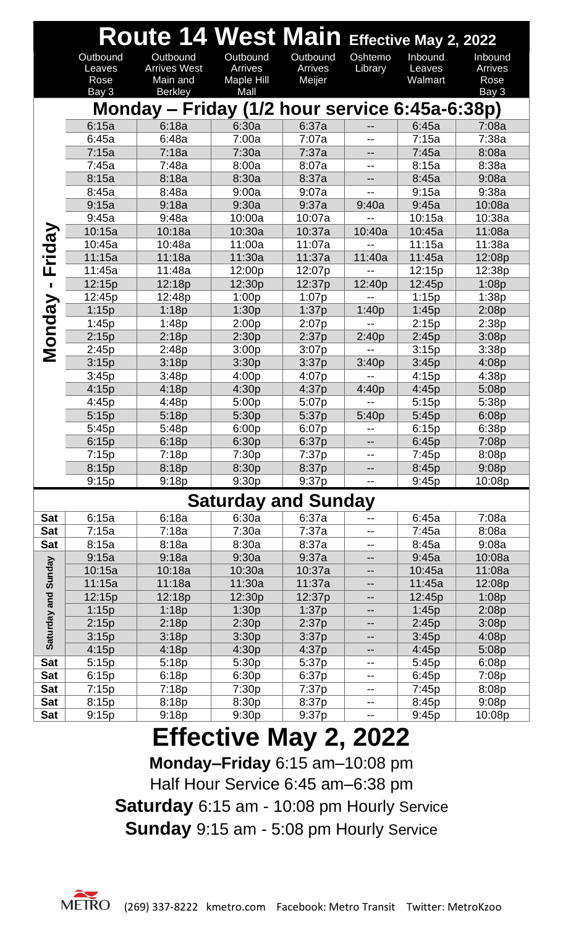|              |                | Route 14 West Main Effective May 2, 2022       |                            |                |                          |                |                |
|--------------|----------------|------------------------------------------------|----------------------------|----------------|--------------------------|----------------|----------------|
|              | Outbound       | Outbound                                       | Outbound                   | Outbound       | Oshtemo                  | Inbound        | Inbound        |
|              | Leaves         | <b>Arrives West</b>                            | <b>Arrives</b>             | Arrives        | Library                  | Leaves         | <b>Arrives</b> |
|              | Rose           | Main and                                       | Maple Hill                 | Meijer         |                          | Walmart        | Rose           |
|              | Bay 3          | <b>Berkley</b>                                 | Mall                       |                |                          |                | Bay 3          |
|              |                | Monday - Friday (1/2 hour service 6:45a-6:38p) |                            |                |                          |                |                |
|              | 6:15a          | 6:18a                                          | 6:30a                      | 6:37a          | $-$                      | 6:45a          | 7:08a          |
|              | 6:45a          | 6:48a                                          | 7:00a                      | 7:07a          | $-$                      | 7:15a          | 7:38a          |
|              | 7:15a          | 7:18a                                          | 7:30a                      | 7:37a          | $-$                      | 7:45a          | 8:08a          |
|              | 7:45a          | 7:48a                                          | 8:00a                      | 8:07a          | --                       | 8:15a          | 8:38a          |
|              | 8:15a          | 8:18a                                          | 8:30a                      | 8:37a          | --                       | 8:45a          | 9:08a          |
|              | 8:45a          | 8:48a                                          | 9:00a                      | 9:07a          | $-$                      | 9:15a          | 9:38a          |
|              | 9:15a          | 9:18a                                          | 9:30a                      | 9:37a          | 9:40a                    | 9:45a          | 10:08a         |
|              | 9:45a          | 9:48a                                          | 10:00a                     | 10:07a         |                          | 10:15a         | 10:38a         |
|              | 10:15a         | 10:18a                                         | 10:30a                     | 10:37a         | 10:40a                   | 10:45a         | 11:08a         |
| <b>Tiday</b> | 10:45a         | 10:48a                                         | 11:00a                     | 11:07a         |                          | 11:15a         | 11:38a         |
|              | 11:15a         | 11:18a                                         | 11:30a                     | 11:37a         | 11:40a                   | 11:45a         | 12:08p         |
| Щ            | 11:45a         | 11:48a                                         | 12:00p                     | 12:07p         |                          | 12:15p         | 12:38p         |
|              | 12:15p         | 12:18p                                         | 12:30p                     | 12:37p         | 12:40p                   | 12:45p         | 1:08p          |
| Monday       | 12:45p         | 12:48p                                         | 1:00p                      | 1:07p          |                          | 1:15p          | 1:38p          |
|              | 1:15p          | 1:18p<br>1:48p                                 | 1:30p<br>2:00p             | 1:37p          | 1:40p                    | 1:45p<br>2:15p | 2:08p<br>2:38p |
|              | 1:45p<br>2:15p | 2:18p                                          | 2:30p                      | 2:07p<br>2:37p | 2:40p                    | 2:45p          | 3:08p          |
|              | 2:45p          | 2:48p                                          | 3:00p                      | 3:07p          | $-$                      | 3:15p          | 3:38p          |
|              | 3:15p          | 3:18p                                          | 3:30p                      | 3:37p          | 3:40p                    | 3:45p          | 4:08p          |
|              | 3:45p          | 3:48p                                          | 4:00p                      | 4:07p          |                          | 4:15p          | 4:38p          |
|              | 4:15p          | 4:18p                                          | 4:30p                      | 4:37p          | 4:40p                    | 4:45p          | 5:08p          |
|              | 4:45p          | 4:48p                                          | 5:00p                      | 5:07p          | $-$                      | 5:15p          | 5:38p          |
|              | 5:15p          | 5:18p                                          | 5:30p                      | 5:37p          | 5:40p                    | 5:45p          | 6:08p          |
|              | 5:45p          | 5:48p                                          | 6:00p                      | 6:07p          | --                       | 6:15p          | 6:38p          |
|              | 6:15p          | 6:18p                                          | 6:30p                      | 6:37p          |                          | 6:45p          | 7:08p          |
|              | 7:15p          | 7:18p                                          | 7:30p                      | 7:37p          |                          | 7:45p          | 8:08p          |
|              | 8:15p          | 8:18p                                          | 8:30p                      | 8:37p          | $\qquad \qquad -$        | 8:45p          | 9:08p          |
|              | 9:15p          | 9:18p                                          | 9:30p                      | 9:37p          | $\overline{\phantom{a}}$ | 9:45p          | 10:08p         |
|              |                |                                                | <b>Saturday and Sunday</b> |                |                          |                |                |
| Sat          | 6:15a          | 6:18a                                          | 6:30a                      | 6:37a          |                          | 6:45a          | 7:08a          |
| <b>Sat</b>   | 7:15a          | 7:18a                                          | 7:30a                      | 7:37a          | --                       | 7:45a          | 8:08a          |
| <b>Sat</b>   | 8:15a          | 8:18a                                          | 8:30a                      | 8:37a          | $\overline{\phantom{a}}$ | 8:45a          | 9:08a          |
|              | 9:15a          | 9:18a                                          | 9:30a                      | 9:37a          |                          | 9:45a          | 10:08a         |
|              | 10:15a         | 10:18a                                         | 10:30a                     | 10:37a         | --                       | 10:45a         | 11:08a         |
| Sunday       | 11:15a         | 11:18a                                         | 11:30a                     | 11:37a         | --                       | 11:45a         | 12:08p         |
|              | 12:15p         | 12:18p                                         | 12:30p                     | 12:37p         | --                       | 12:45p         | 1:08p          |
|              | 1:15p          | 1:18p                                          | 1:30p                      | 1:37p          | --                       | 1:45p          | 2:08p          |
|              | 2:15p          | 2:18p                                          | 2:30p                      | 2:37p          | --                       | 2:45p          | 3:08p          |
| Saturday and | 3:15p          | 3:18p                                          | 3:30p                      | 3:37p          | --                       | 3:45p          | 4:08p          |
|              | 4:15p          | 4:18p                                          | 4:30p                      | 4:37p          | --                       | 4:45p          | 5:08p          |
| <b>Sat</b>   | 5:15p          | 5:18p                                          | 5:30p                      | 5:37p          | --                       | 5:45p          | 6:08p          |
| <b>Sat</b>   | 6:15p          | 6:18p                                          | 6:30p                      | 6:37p          | --                       | 6:45p          | 7:08p          |
| <b>Sat</b>   | 7:15p          | 7:18p                                          | 7:30p                      | 7:37p          | --                       | 7:45p          | 8:08p          |
| <b>Sat</b>   | 8:15p          | 8:18p                                          | 8:30p                      | 8:37p          | --                       | 8:45p          | 9:08p          |
| <b>Sat</b>   | 9:15p          | 9:18p                                          | 9:30p                      | 9:37p          | --                       | 9:45p          | 10:08p         |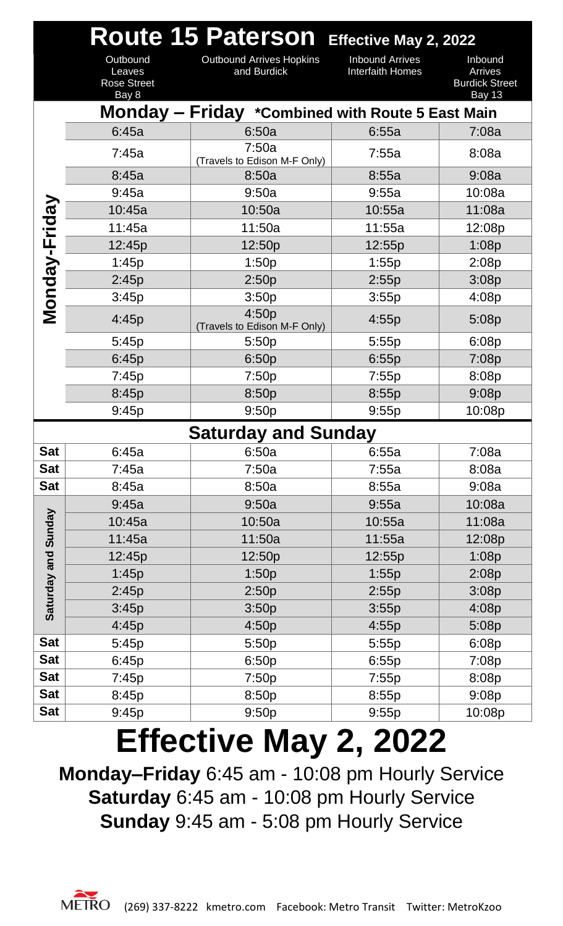|                     |                                                   | Route 15 Paterson Effective May 2, 2022          |                                            |                                                              |
|---------------------|---------------------------------------------------|--------------------------------------------------|--------------------------------------------|--------------------------------------------------------------|
|                     | Outbound<br>Leaves<br><b>Rose Street</b><br>Bay 8 | <b>Outbound Arrives Hopkins</b><br>and Burdick   | <b>Inbound Arrives</b><br>Interfaith Homes | Inbound<br>Arrives<br><b>Burdick Street</b><br><b>Bay 13</b> |
|                     |                                                   | Monday - Friday *Combined with Route 5 East Main |                                            |                                                              |
|                     | 6:45a                                             | 6:50a                                            | 6:55a                                      | 7:08a                                                        |
|                     | 7:45a                                             | 7:50a<br>(Travels to Edison M-F Only)            | 7:55a                                      | 8:08a                                                        |
|                     | 8:45a                                             | 8:50a                                            | 8:55a                                      | 9:08a                                                        |
|                     | 9:45a                                             | 9:50a                                            | 9:55a                                      | 10:08a                                                       |
|                     | 10:45a                                            | 10:50a                                           | 10:55a                                     | 11:08a                                                       |
|                     | 11:45a                                            | 11:50a                                           | 11:55a                                     | 12:08p                                                       |
| Monday-Friday       | 12:45p                                            | 12:50p                                           | 12:55p                                     | 1:08p                                                        |
|                     | 1:45p                                             | 1:50p                                            | 1:55p                                      | 2:08p                                                        |
|                     | 2:45p                                             | 2:50p                                            | 2:55p                                      | 3:08p                                                        |
|                     | 3:45p                                             | 3:50p                                            | 3:55p                                      | 4:08p                                                        |
|                     | 4:45p                                             | 4:50p<br>(Travels to Edison M-F Only)            | 4:55p                                      | 5:08p                                                        |
|                     | 5:45p                                             | 5:50p                                            | 5:55p                                      | 6:08p                                                        |
|                     | 6:45p                                             | 6:50p                                            | 6:55p                                      | 7:08p                                                        |
|                     | 7:45p                                             | 7:50p                                            | 7:55p                                      | 8:08p                                                        |
|                     | 8:45p                                             | 8:50p                                            | 8:55p                                      | 9:08p                                                        |
|                     | 9:45p                                             | 9:50p                                            | 9:55p                                      | 10:08p                                                       |
|                     |                                                   | <b>Saturday and Sunday</b>                       |                                            |                                                              |
| <b>Sat</b>          | 6:45a                                             | 6:50a                                            | 6:55a                                      | 7:08a                                                        |
| <b>Sat</b>          | 7:45a                                             | 7:50a                                            | 7:55a                                      | 8:08a                                                        |
| <b>Sat</b>          | 8:45a                                             | 8:50a                                            | 8:55a                                      | 9:08a                                                        |
|                     | 9:45a                                             | 9:50a                                            | 9:55a                                      | 10:08a                                                       |
|                     | 10:45a                                            | 10:50a                                           | 10:55a                                     | 11:08a                                                       |
| Saturday and Sunday | 11:45a                                            | 11:50a                                           | 11:55a                                     | 12:08p                                                       |
|                     | 12:45p                                            | 12:50p                                           | 12:55p                                     | 1:08p                                                        |
|                     | 1:45p                                             | 1:50p                                            | 1:55p                                      | 2:08p                                                        |
|                     | 2:45p                                             | 2:50p                                            | 2:55p                                      | 3:08p                                                        |
|                     | 3:45p                                             | 3:50p                                            | 3:55p                                      | 4:08p                                                        |
|                     | 4:45p                                             | 4:50p                                            | 4:55p                                      | 5:08p                                                        |
| <b>Sat</b>          | 5:45p                                             | 5:50p                                            | 5:55p                                      | 6:08p                                                        |
| <b>Sat</b>          | 6:45p                                             | 6:50p                                            | 6:55p                                      | 7:08p                                                        |
| <b>Sat</b>          | 7:45p                                             | 7:50p                                            | 7:55p                                      | 8:08p                                                        |
| <b>Sat</b>          | 8:45p                                             | 8:50p                                            | 8:55p                                      | 9:08p                                                        |
| <b>Sat</b>          | 9:45p                                             | 9:50p                                            | 9:55p                                      | 10:08p                                                       |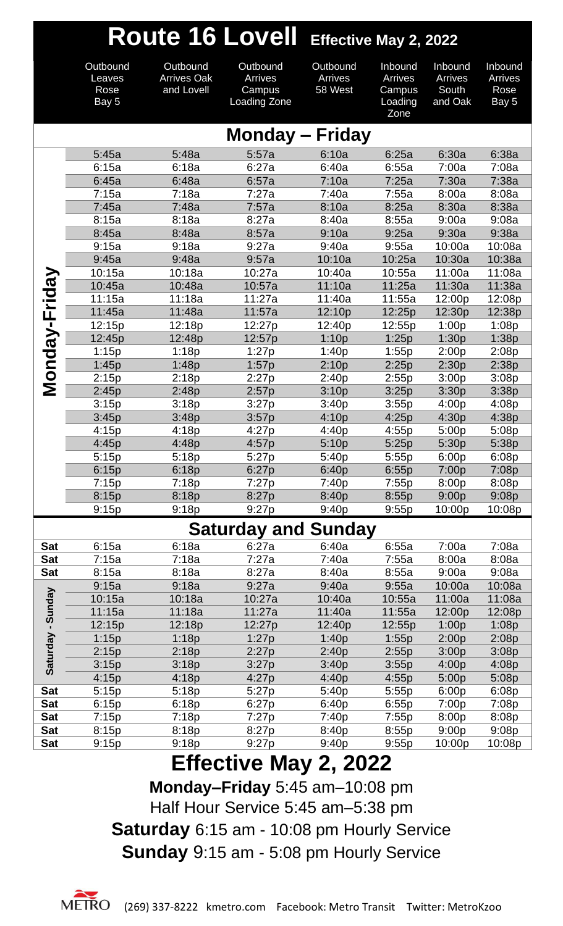|                          |                                     |                                              | Route 16 Lovell Effective May 2, 2022         |                                |                                                        |                                        |                                                         |
|--------------------------|-------------------------------------|----------------------------------------------|-----------------------------------------------|--------------------------------|--------------------------------------------------------|----------------------------------------|---------------------------------------------------------|
|                          | Outbound<br>Leaves<br>Rose<br>Bay 5 | Outbound<br><b>Arrives Oak</b><br>and Lovell | Outbound<br>Arrives<br>Campus<br>Loading Zone | Outbound<br>Arrives<br>58 West | Inbound<br><b>Arrives</b><br>Campus<br>Loading<br>Zone | Inbound<br>Arrives<br>South<br>and Oak | Inbound<br><b>Arrives</b><br>Rose<br>Bay $\overline{5}$ |
|                          |                                     |                                              | <b>Monday - Friday</b>                        |                                |                                                        |                                        |                                                         |
|                          | 5:45a                               | 5:48a                                        | 5:57a                                         | 6:10a                          | 6:25a                                                  | 6:30a                                  | 6:38a                                                   |
|                          | 6:15a                               | 6:18a                                        | 6:27a                                         | 6:40a                          | 6:55a                                                  | 7:00a                                  | 7:08a                                                   |
|                          | 6:45a                               | 6:48a                                        | 6:57a                                         | 7:10a                          | 7:25a                                                  | 7:30a                                  | 7:38a                                                   |
|                          | 7:15a                               | 7:18a                                        | 7:27a                                         | 7:40a                          | 7:55a                                                  | 8:00a                                  | 8:08a                                                   |
|                          | 7:45a                               | 7:48a                                        | 7:57a                                         | 8:10a                          | 8:25a                                                  | 8:30a                                  | 8:38a                                                   |
|                          | 8:15a                               | 8:18a                                        | 8:27a                                         | 8:40a                          | 8:55a                                                  | 9:00a                                  | 9:08a                                                   |
|                          | 8:45a<br>9:15a                      | 8:48a<br>9:18a                               | 8:57a<br>9:27a                                | 9:10a<br>9:40a                 | 9:25a                                                  | 9:30a<br>10:00a                        | 9:38a<br>10:08a                                         |
|                          | 9:45a                               | 9:48a                                        | 9:57a                                         | 10:10a                         | 9:55a<br>10:25a                                        | 10:30a                                 | 10:38a                                                  |
|                          | 10:15a                              | 10:18a                                       | 10:27a                                        | 10:40a                         | 10:55a                                                 | 11:00a                                 | 11:08a                                                  |
| Monday-Friday            | 10:45a                              | 10:48a                                       | 10:57a                                        | 11:10a                         | 11:25a                                                 | 11:30a                                 | 11:38a                                                  |
|                          | 11:15a                              | 11:18a                                       | 11:27a                                        | 11:40a                         | 11:55a                                                 | 12:00p                                 | 12:08p                                                  |
|                          | 11:45a                              | 11:48a                                       | 11:57a                                        | 12:10p                         | 12:25p                                                 | 12:30p                                 | 12:38p                                                  |
|                          | 12:15p                              | 12:18p                                       | 12:27p                                        | 12:40p                         | 12:55p                                                 | 1:00p                                  | 1:08p                                                   |
|                          | 12:45p                              | 12:48p                                       | 12:57p                                        | 1:10p                          | 1:25p                                                  | 1:30p                                  | 1:38p                                                   |
|                          | 1:15p                               | 1:18p                                        | 1:27p                                         | 1:40p                          | 1:55p                                                  | 2:00p                                  | 2:08p                                                   |
|                          | 1:45p                               | 1:48p                                        | 1:57p                                         | 2:10p                          | 2:25p                                                  | 2:30p                                  | 2:38p                                                   |
|                          | 2:15p                               | 2:18p                                        | 2:27p                                         | 2:40p                          | 2:55p                                                  | 3:00p                                  | 3:08p                                                   |
|                          | 2:45p                               | 2:48p                                        | 2:57p                                         | 3:10p                          | 3:25p                                                  | 3:30p                                  | 3:38p                                                   |
|                          | 3:15p                               | 3:18p                                        | 3:27p                                         | 3:40p                          | 3:55p                                                  | 4:00p                                  | 4:08p                                                   |
|                          | 3:45p                               | 3:48p                                        | 3:57p                                         | 4:10p                          | 4:25p                                                  | 4:30p                                  | 4:38p                                                   |
|                          | 4:15p<br>4:45p                      | 4:18p<br>4:48p                               | 4:27p                                         | 4:40p<br>5:10p                 | 4:55p                                                  | 5:00p                                  | 5:08p                                                   |
|                          | 5:15p                               | 5:18p                                        | 4:57p<br>5:27p                                | 5:40p                          | 5:25p<br>5:55p                                         | 5:30p<br>6:00p                         | 5:38p<br>6:08p                                          |
|                          | 6:15p                               | 6:18p                                        | 6:27p                                         | 6:40p                          | 6:55p                                                  | 7:00p                                  | 7:08p                                                   |
|                          | 7:15p                               | 7:18p                                        | 7:27p                                         | 7:40p                          | 7:55p                                                  | 8:00p                                  | 8:08p                                                   |
|                          | 8:15p                               | 8:18p                                        | 8:27p                                         | 8:40p                          | 8:55p                                                  | 9:00p                                  | 9:08p                                                   |
|                          | 9:15p                               | 9:18p                                        | 9:27p                                         | 9:40p                          | 9:55p                                                  | 10:00p                                 | 10:08p                                                  |
|                          |                                     |                                              | <b>Saturday and Sunday</b>                    |                                |                                                        |                                        |                                                         |
| <b>Sat</b>               | 6:15a                               | 6:18a                                        | 6:27a                                         | 6:40a                          | 6:55a                                                  | 7:00a                                  | 7:08a                                                   |
| <b>Sat</b>               | 7:15a                               | 7:18a                                        | 7:27a                                         | 7:40a                          | 7:55a                                                  | 8:00a                                  | 8:08a                                                   |
| <b>Sat</b>               | 8:15a                               | 8:18a                                        | 8:27a                                         | 8:40a                          | 8:55a                                                  | 9:00a                                  | 9:08a                                                   |
|                          | 9:15a                               | 9:18a                                        | 9:27a                                         | 9:40a                          | 9:55a                                                  | 10:00a                                 | 10:08a                                                  |
|                          | 10:15a                              | 10:18a                                       | 10:27a                                        | 10:40a                         | 10:55a                                                 | 11:00a                                 | 11:08a                                                  |
|                          | 11:15a                              | 11:18a                                       | 11:27a                                        | 11:40a                         | 11:55a                                                 | 12:00p                                 | 12:08p                                                  |
|                          | 12:15p                              | 12:18p                                       | 12:27p                                        | 12:40p                         | 12:55p                                                 | 1:00p                                  | 1:08p                                                   |
|                          | 1:15p                               | 1:18p                                        | 1:27p                                         | 1:40p                          | 1:55p                                                  | 2:00p                                  | 2:08p                                                   |
|                          | 2:15p                               | 2:18p                                        | 2:27p                                         | 2:40p                          | 2:55p                                                  | 3:00p                                  | 3:08p                                                   |
| Saturday - Sunday        | 3:15p                               | 3:18p                                        | 3:27p                                         | 3:40p                          | 3:55p                                                  | 4:00p                                  | 4:08p                                                   |
|                          | 4:15p                               | 4:18p                                        | 4:27p                                         | 4:40p                          | 4:55p                                                  | 5:00p                                  | 5:08p                                                   |
| <b>Sat</b>               | 5:15p                               | 5:18p                                        | 5:27p                                         | 5:40p                          | 5:55p                                                  | 6:00p                                  | 6:08p                                                   |
| <b>Sat</b><br><b>Sat</b> | 6:15p<br>7:15p                      | 6:18p<br>7:18p                               | 6:27p<br>7:27p                                | 6:40p<br>7:40p                 | 6:55p<br>7:55p                                         | 7:00p<br>8:00p                         | 7:08p<br>8:08p                                          |
| <b>Sat</b>               | 8:15p                               | 8:18p                                        | 8:27p                                         | 8:40p                          | 8:55p                                                  | 9:00p                                  | 9:08p                                                   |
| Sat                      | 9:15p                               | 9:18p                                        | 9:27p                                         | 9:40p                          | 9:55p                                                  | 10:00p                                 | 10:08p                                                  |
|                          |                                     |                                              | <b>Effective May 2, 2022</b>                  |                                |                                                        |                                        |                                                         |
|                          |                                     |                                              |                                               |                                |                                                        |                                        |                                                         |

**Monday–Friday** 5:45 am–10:08 pm Half Hour Service 5:45 am–5:38 pm **Saturday** 6:15 am - 10:08 pm Hourly Service **Sunday** 9:15 am - 5:08 pm Hourly Service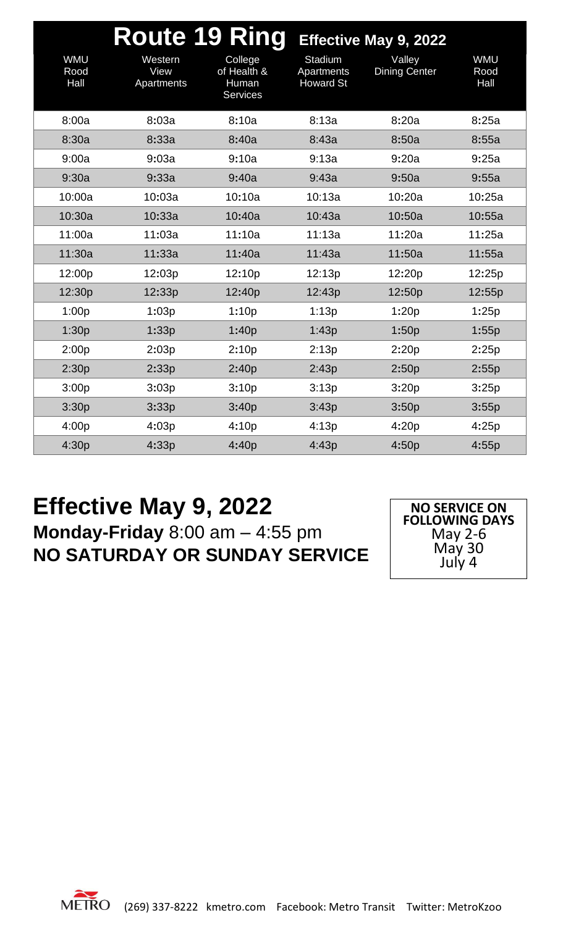|                            | <b>Route 19 Ring</b>          |                                                    |                                           | Effective May 9, 2022          |                            |
|----------------------------|-------------------------------|----------------------------------------------------|-------------------------------------------|--------------------------------|----------------------------|
| <b>WMU</b><br>Rood<br>Hall | Western<br>View<br>Apartments | College<br>of Health &<br>Human<br><b>Services</b> | Stadium<br>Apartments<br><b>Howard St</b> | Valley<br><b>Dining Center</b> | <b>WMU</b><br>Rood<br>Hall |
| 8:00a                      | 8:03a                         | 8:10a                                              | 8:13a                                     | 8:20a                          | 8:25a                      |
| 8:30a                      | 8:33a                         | 8:40a                                              | 8:43a                                     | 8:50a                          | 8:55a                      |
| 9:00a                      | 9:03a                         | 9:10a                                              | 9:13a                                     | 9:20a                          | 9:25a                      |
| 9:30a                      | 9:33a                         | 9:40a                                              | 9:43a                                     | 9:50a                          | 9:55a                      |
| 10:00a                     | 10:03a                        | 10:10a                                             | 10:13a                                    | 10:20a                         | 10:25a                     |
| 10:30a                     | 10:33a                        | 10:40a                                             | 10:43a                                    | 10:50a                         | 10:55a                     |
| 11:00a                     | 11:03a                        | 11:10a                                             | 11:13a                                    | 11:20a                         | 11:25a                     |
| 11:30a                     | 11:33a                        | 11:40a                                             | 11:43a                                    | 11:50a                         | 11:55a                     |
| 12:00p                     | 12:03p                        | 12:10p                                             | 12:13p                                    | 12:20p                         | 12:25p                     |
| 12:30p                     | 12:33p                        | 12:40p                                             | 12:43p                                    | 12:50p                         | 12:55p                     |
| 1:00p                      | 1:03p                         | 1:10p                                              | 1:13p                                     | 1:20p                          | 1:25p                      |
| 1:30p                      | 1:33p                         | 1:40p                                              | 1:43p                                     | 1:50p                          | 1:55p                      |
| 2:00p                      | 2:03p                         | 2:10p                                              | 2:13p                                     | 2:20p                          | 2:25p                      |
| 2:30p                      | 2:33p                         | 2:40p                                              | 2:43p                                     | 2:50p                          | 2:55p                      |
| 3:00p                      | 3:03p                         | 3:10p                                              | 3:13p                                     | 3:20p                          | 3:25p                      |
| 3:30p                      | 3:33p                         | 3:40p                                              | 3:43p                                     | 3:50p                          | 3:55p                      |
| 4:00p                      | 4:03p                         | 4:10p                                              | 4:13p                                     | 4:20p                          | 4:25p                      |
| 4:30p                      | 4:33p                         | 4:40p                                              | 4:43p                                     | 4:50p                          | 4:55p                      |

#### **Effective May 9, 2022 Monday-Friday** 8:00 am – 4:55 pm **NO SATURDAY OR SUNDAY SERVICE**

**NO SERVICE ON FOLLOWING DAYS** May 2-6 May 30 July 4

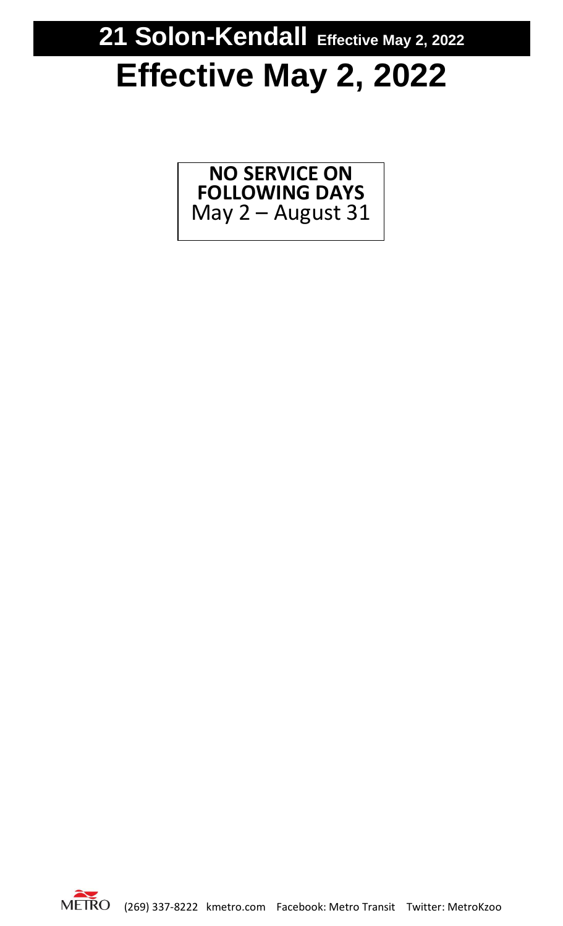### **21 Solon-Kendall Effective May 2, 2022**

# **Effective May 2, 2022**

**NO SERVICE ON FOLLOWING DAYS** May 2 – August 31

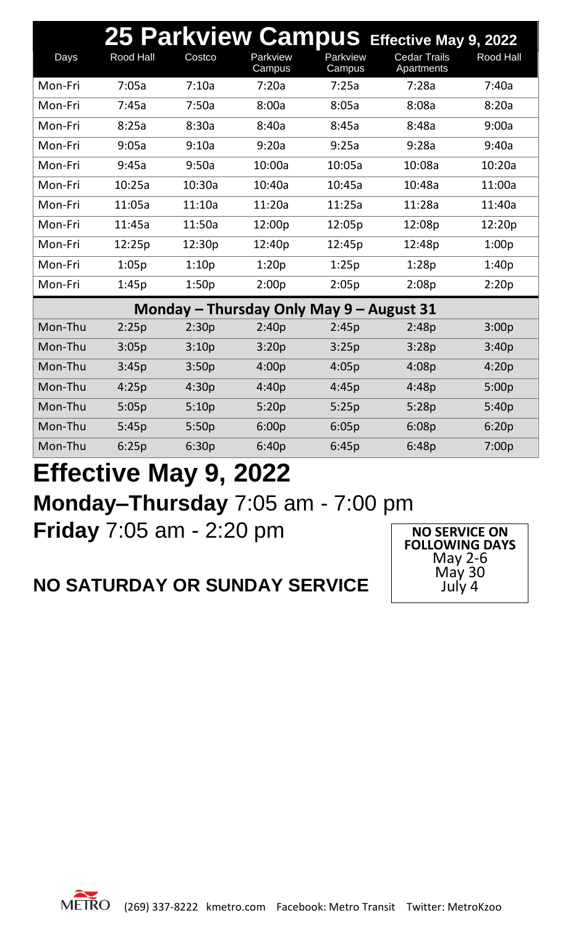|         |                  |        |                                          |                    | 25 Parkview Campus Effective May 9, 2022 |                  |
|---------|------------------|--------|------------------------------------------|--------------------|------------------------------------------|------------------|
| Days    | <b>Rood Hall</b> | Costco | Parkview<br>Campus                       | Parkview<br>Campus | <b>Cedar Trails</b><br>Apartments        | <b>Rood Hall</b> |
| Mon-Fri | 7:05a            | 7:10a  | 7:20a                                    | 7:25a              | 7:28a                                    | 7:40a            |
| Mon-Fri | 7:45a            | 7:50a  | 8:00a                                    | 8:05a              | 8:08a                                    | 8:20a            |
| Mon-Fri | 8:25a            | 8:30a  | 8:40a                                    | 8:45a              | 8:48a                                    | 9:00a            |
| Mon-Fri | 9:05a            | 9:10a  | 9:20a                                    | 9:25a              | 9:28a                                    | 9:40a            |
| Mon-Fri | 9:45a            | 9:50a  | 10:00a                                   | 10:05a             | 10:08a                                   | 10:20a           |
| Mon-Fri | 10:25a           | 10:30a | 10:40a                                   | 10:45a             | 10:48a                                   | 11:00a           |
| Mon-Fri | 11:05a           | 11:10a | 11:20a                                   | 11:25a             | 11:28a                                   | 11:40a           |
| Mon-Fri | 11:45a           | 11:50a | 12:00p                                   | 12:05p             | 12:08p                                   | 12:20p           |
| Mon-Fri | 12:25p           | 12:30p | 12:40p                                   | 12:45p             | 12:48p                                   | 1:00p            |
| Mon-Fri | 1:05p            | 1:10p  | 1:20p                                    | 1:25p              | 1:28p                                    | 1:40p            |
| Mon-Fri | 1:45p            | 1:50p  | 2:00p                                    | 2:05p              | 2:08p                                    | 2:20p            |
|         |                  |        | Monday – Thursday Only May 9 – August 31 |                    |                                          |                  |
| Mon-Thu | 2:25p            | 2:30p  | 2:40p                                    | 2:45p              | 2:48p                                    | 3:00p            |
| Mon-Thu | 3:05p            | 3:10p  | 3:20p                                    | 3:25p              | 3:28p                                    | 3:40p            |
| Mon-Thu | 3:45p            | 3:50p  | 4:00p                                    | 4:05p              | 4:08p                                    | 4:20p            |
| Mon-Thu | 4:25p            | 4:30p  | 4:40p                                    | 4:45p              | 4:48p                                    | 5:00p            |
| Mon-Thu | 5:05p            | 5:10p  | 5:20p                                    | 5:25p              | 5:28p                                    | 5:40p            |
| Mon-Thu | 5:45p            | 5:50p  | 6:00p                                    | 6:05p              | 6:08p                                    | 6:20p            |
| Mon-Thu | 6:25p            | 6:30p  | 6:40p                                    | 6:45p              | 6:48p                                    | 7:00p            |

**FOLLOWING DAYS** May 2-6 May 30 July 4

#### **Effective May 9, 2022 Monday–Thursday** 7:05 am - 7:00 pm **Friday** 7:05 am - 2:20 pm **NO SERVICE ON**

#### **NO SATURDAY OR SUNDAY SERVICE**

METRO (269) 337-8222 kmetro.com Facebook: Metro Transit Twitter: MetroKzoo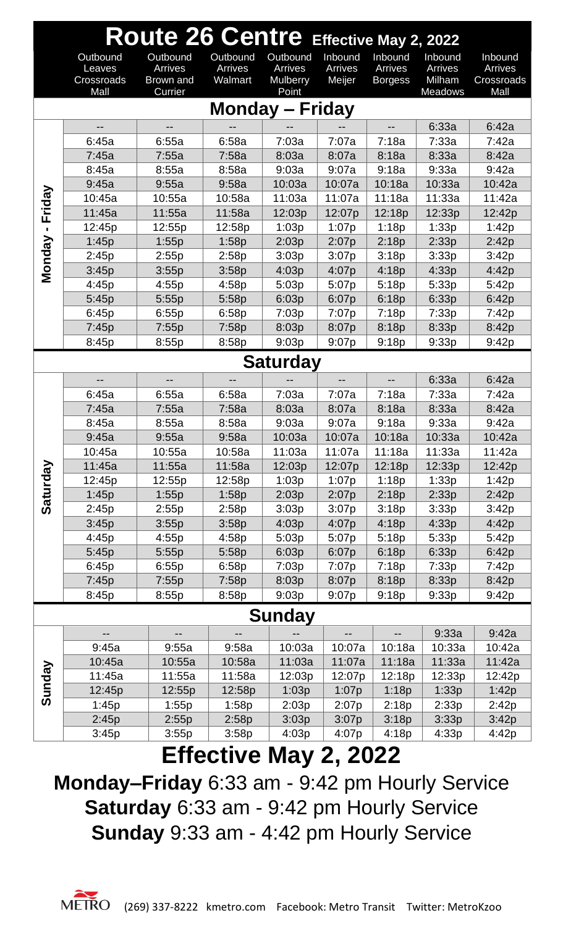| Route 26 Centre Effective May 2, 2022 |                                  |                                  |                                |                                        |                              |                                      |                              |                                  |  |
|---------------------------------------|----------------------------------|----------------------------------|--------------------------------|----------------------------------------|------------------------------|--------------------------------------|------------------------------|----------------------------------|--|
|                                       | Outbound<br>Leaves<br>Crossroads | Outbound<br>Arrives<br>Brown and | Outbound<br>Arrives<br>Walmart | Outbound<br>Arrives<br><b>Mulberry</b> | Inbound<br>Arrives<br>Meijer | Inbound<br>Arrives<br><b>Borgess</b> | Inbound<br>Arrives<br>Milham | Inbound<br>Arrives<br>Crossroads |  |
|                                       | Mall                             | Currier                          |                                | Point                                  |                              |                                      | <b>Meadows</b>               | Mall                             |  |
|                                       |                                  |                                  |                                | <b>Monday - Friday</b>                 |                              |                                      |                              |                                  |  |
|                                       |                                  |                                  |                                |                                        |                              |                                      | 6:33a                        | 6:42a                            |  |
|                                       | 6:45a                            | 6:55a                            | 6:58a                          | 7:03a                                  | 7:07a                        | 7:18a                                | 7:33a                        | 7:42a                            |  |
|                                       | 7:45a                            | 7:55a                            | 7:58a                          | 8:03a                                  | 8:07a                        | 8:18a                                | 8:33a                        | 8:42a                            |  |
|                                       | 8:45a                            | 8:55a                            | 8:58a                          | 9:03a                                  | 9:07a                        | 9:18a                                | 9:33a                        | 9:42a                            |  |
|                                       | 9:45a                            | 9:55a                            | 9:58a                          | 10:03a                                 | 10:07a                       | 10:18a                               | 10:33a                       | 10:42a                           |  |
| Friday                                | 10:45a                           | 10:55a                           | 10:58a                         | 11:03a                                 | 11:07a                       | 11:18a                               | 11:33a                       | 11:42a                           |  |
|                                       | 11:45a                           | 11:55a                           | 11:58a                         | 12:03p                                 | 12:07p                       | 12:18p                               | 12:33p                       | 12:42p                           |  |
|                                       | 12:45p                           | 12:55p                           | 12:58p                         | 1:03p                                  | 1:07p                        | 1:18p                                | 1:33p                        | 1:42p                            |  |
| Monday                                | 1:45p                            | 1:55p                            | 1:58p                          | 2:03p                                  | 2:07p                        | 2:18p                                | 2:33p                        | 2:42p                            |  |
|                                       | 2:45p                            | 2:55p                            | 2:58p                          | 3:03p                                  | 3:07p                        | 3:18p                                | 3:33p                        | 3:42p                            |  |
|                                       | 3:45p                            | 3:55p                            | 3:58p                          | 4:03p                                  | 4:07p                        | 4:18p                                | 4:33p                        | 4:42p                            |  |
|                                       | 4:45p                            | 4:55p                            | 4:58p                          | 5:03p                                  | 5:07p                        | 5:18p                                | 5:33p                        | 5:42p                            |  |
|                                       | 5:45p                            | 5:55p                            | 5:58p                          | 6:03p                                  | 6:07p                        | 6:18p                                | 6:33p                        | 6:42p                            |  |
|                                       | 6:45p                            | 6:55p                            | 6:58p                          | 7:03p                                  | 7:07p                        | 7:18p                                | 7:33p                        | 7:42p                            |  |
|                                       | 7:45p                            | 7:55p                            | 7:58p                          | 8:03p                                  | 8:07p                        | 8:18p                                | 8:33p                        | 8:42p                            |  |
|                                       | 8:45p                            | 8:55p                            | 8:58p                          | 9:03p                                  | 9:07p                        | 9:18p                                | 9:33p                        | 9:42p                            |  |
|                                       | <b>Saturday</b>                  |                                  |                                |                                        |                              |                                      |                              |                                  |  |
|                                       |                                  | $-$                              |                                |                                        |                              |                                      | 6:33a                        | 6:42a                            |  |
|                                       | 6:45a                            | 6:55a                            | 6:58a                          | 7:03a                                  | 7:07a                        | 7:18a                                | 7:33a                        | 7:42a                            |  |
|                                       | 7:45a                            | 7:55a                            | 7:58a                          | 8:03a                                  | 8:07a                        | 8:18a                                | 8:33a                        | 8:42a                            |  |
|                                       | 8:45a                            | 8:55a                            | 8:58a                          | 9:03a                                  | 9:07a                        | 9:18a                                | 9:33a                        | 9:42a                            |  |
|                                       | 9:45a                            | 9:55a                            | 9:58a                          | 10:03a                                 | 10:07a                       | 10:18a                               | 10:33a                       | 10:42a                           |  |
|                                       | 10:45a                           | 10:55a                           | 10:58a                         | 11:03a                                 | 11:07a                       | 11:18a                               | 11:33a                       | 11:42a                           |  |
|                                       | 11:45a                           | 11:55a                           | 11:58a                         | 12:03p                                 | 12:07p                       | 12:18p                               | 12:33p                       | 12:42p                           |  |
|                                       | 12:45p                           | 12:55p                           | 12:58p                         | 1:03p                                  | 1:07p                        | 1:18p                                | 1:33p                        | 1:42p                            |  |
| Saturday                              | 1:45p                            | 1:55p                            | 1:58p                          | 2:03p                                  | 2:07p                        | 2:18p                                | 2:33p                        | 2:42p                            |  |
|                                       | 2:45p                            | 2:55p                            | 2:58p                          | 3:03p                                  | 3:07p                        | 3:18p                                | 3:33p                        | 3:42p                            |  |
|                                       | 3:45p                            | 3:55p                            | 3:58p                          | 4:03p                                  | 4:07p                        | 4:18p                                | 4:33p                        | 4:42p                            |  |
|                                       | 4:45p                            | 4:55p                            | 4:58p                          | 5:03p                                  | 5:07p                        | 5:18p                                | 5:33p                        | 5:42p                            |  |
|                                       | 5:45p                            | 5:55p                            | 5:58p                          | 6:03p                                  | 6:07p                        | 6:18p                                | 6:33p                        | 6:42p                            |  |
|                                       | 6:45p                            | 6:55p                            | 6:58p                          | 7:03p                                  | 7:07p                        | 7:18p                                | 7:33p                        | 7:42p                            |  |
|                                       | 7:45p<br>8:45p                   | 7:55p                            | 7:58p<br>8:58p                 | 8:03p                                  | 8:07p<br>9:07p               | 8:18p                                | 8:33p                        | 8:42p<br>9:42p                   |  |
|                                       |                                  | 8:55p                            |                                | 9:03p                                  |                              | 9:18p                                | 9:33p                        |                                  |  |
|                                       | --                               |                                  |                                | <b>Sunday</b>                          | --                           | --                                   | 9:33a                        | 9:42a                            |  |
|                                       | 9:45a                            | 9:55a                            | 9:58a                          | 10:03a                                 | 10:07a                       | 10:18a                               | 10:33a                       | 10:42a                           |  |
|                                       | 10:45a                           | 10:55a                           | 10:58a                         | 11:03a                                 | 11:07a                       | 11:18a                               | 11:33a                       | 11:42a                           |  |
|                                       | 11:45a                           | 11:55a                           | 11:58a                         | 12:03p                                 | 12:07p                       | 12:18p                               | 12:33p                       | 12:42p                           |  |
| Sunday                                | 12:45p                           | 12:55p                           | 12:58p                         | 1:03p                                  | 1:07p                        | 1:18p                                | 1:33p                        | 1:42p                            |  |
|                                       | 1:45p                            | 1:55p                            | 1:58p                          | 2:03p                                  | 2:07p                        | 2:18p                                | 2:33p                        | 2:42p                            |  |
|                                       | 2:45p                            | 2:55p                            | 2:58p                          | 3:03p                                  | 3:07p                        | 3:18p                                | 3:33p                        | 3:42p                            |  |
|                                       | 3:45p                            | 3:55p                            | 3:58p                          | 4:03p                                  | 4:07p                        | 4:18p                                | 4:33p                        | 4:42p                            |  |
|                                       |                                  |                                  | <b>Effective May 2, 2022</b>   |                                        |                              |                                      |                              |                                  |  |

**Monday–Friday** 6:33 am - 9:42 pm Hourly Service **Saturday** 6:33 am - 9:42 pm Hourly Service **Sunday** 9:33 am - 4:42 pm Hourly Service